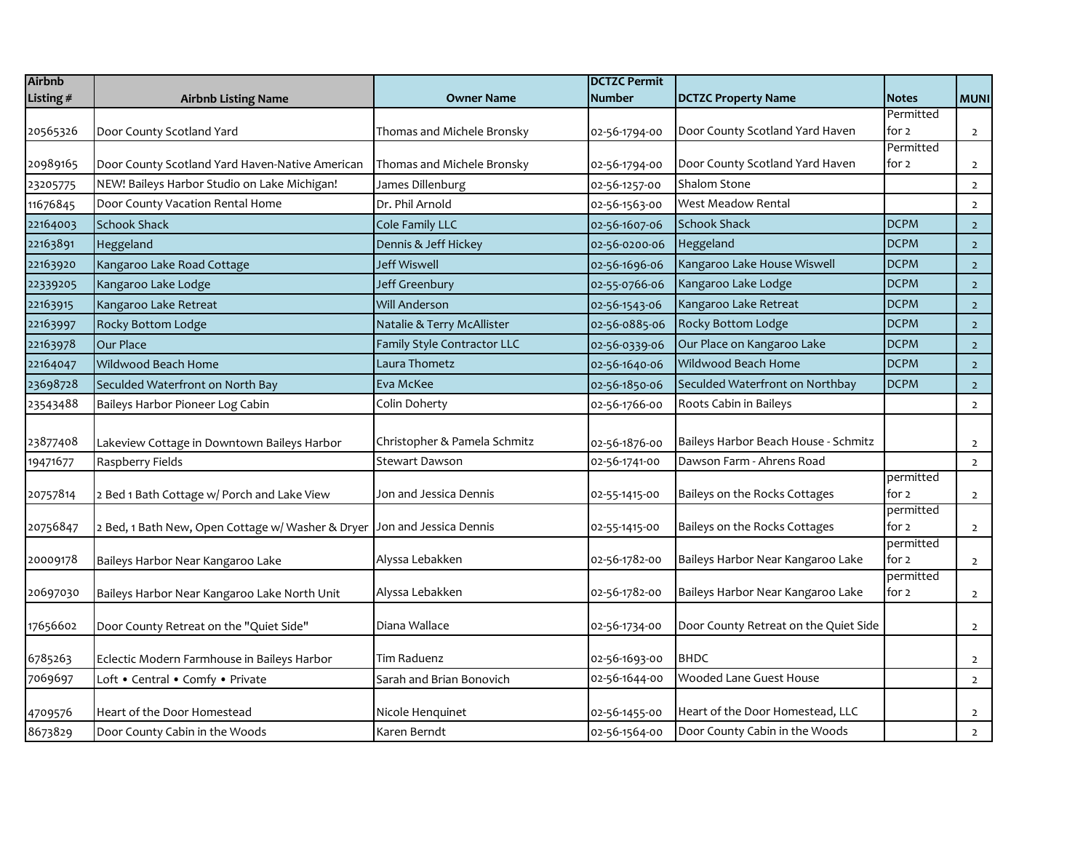| <b>Airbnb</b> |                                                   |                              | <b>DCTZC Permit</b> |                                       |                    |                |
|---------------|---------------------------------------------------|------------------------------|---------------------|---------------------------------------|--------------------|----------------|
| Listing #     | <b>Airbnb Listing Name</b>                        | <b>Owner Name</b>            | <b>Number</b>       | <b>DCTZC Property Name</b>            | <b>Notes</b>       | <b>MUNI</b>    |
|               |                                                   |                              |                     |                                       | Permitted          |                |
| 20565326      | Door County Scotland Yard                         | Thomas and Michele Bronsky   | 02-56-1794-00       | Door County Scotland Yard Haven       | for 2<br>Permitted | $\mathbf{2}$   |
| 20989165      | Door County Scotland Yard Haven-Native American   | Thomas and Michele Bronsky   | 02-56-1794-00       | Door County Scotland Yard Haven       | for 2              | $\overline{2}$ |
| 23205775      | NEW! Baileys Harbor Studio on Lake Michigan!      | James Dillenburg             | 02-56-1257-00       | Shalom Stone                          |                    | $\overline{2}$ |
| 11676845      | Door County Vacation Rental Home                  | Dr. Phil Arnold              | 02-56-1563-00       | <b>West Meadow Rental</b>             |                    | $\overline{2}$ |
| 22164003      | <b>Schook Shack</b>                               | Cole Family LLC              | 02-56-1607-06       | <b>Schook Shack</b>                   | <b>DCPM</b>        | $\overline{2}$ |
| 22163891      | Heggeland                                         | Dennis & Jeff Hickey         | 02-56-0200-06       | Heggeland                             | <b>DCPM</b>        | $\overline{2}$ |
| 22163920      | Kangaroo Lake Road Cottage                        | Jeff Wiswell                 | 02-56-1696-06       | Kangaroo Lake House Wiswell           | <b>DCPM</b>        | $2^{\circ}$    |
| 22339205      | Kangaroo Lake Lodge                               | Jeff Greenbury               | 02-55-0766-06       | Kangaroo Lake Lodge                   | <b>DCPM</b>        | $\overline{2}$ |
| 22163915      | Kangaroo Lake Retreat                             | <b>Will Anderson</b>         | 02-56-1543-06       | Kangaroo Lake Retreat                 | <b>DCPM</b>        | $\overline{2}$ |
| 22163997      | Rocky Bottom Lodge                                | Natalie & Terry McAllister   | 02-56-0885-06       | Rocky Bottom Lodge                    | <b>DCPM</b>        | $\overline{2}$ |
| 22163978      | Our Place                                         | Family Style Contractor LLC  | 02-56-0339-06       | Our Place on Kangaroo Lake            | <b>DCPM</b>        | $2^{\circ}$    |
| 22164047      | Wildwood Beach Home                               | Laura Thometz                | 02-56-1640-06       | Wildwood Beach Home                   | <b>DCPM</b>        | $\overline{2}$ |
| 23698728      | Seculded Waterfront on North Bay                  | Eva McKee                    | 02-56-1850-06       | Seculded Waterfront on Northbay       | <b>DCPM</b>        | $\overline{2}$ |
| 23543488      | Baileys Harbor Pioneer Log Cabin                  | Colin Doherty                | 02-56-1766-00       | Roots Cabin in Baileys                |                    | $\overline{2}$ |
|               |                                                   |                              |                     |                                       |                    |                |
| 23877408      | Lakeview Cottage in Downtown Baileys Harbor       | Christopher & Pamela Schmitz | 02-56-1876-00       | Baileys Harbor Beach House - Schmitz  |                    | $\overline{2}$ |
| 19471677      | Raspberry Fields                                  | Stewart Dawson               | 02-56-1741-00       | Dawson Farm - Ahrens Road             |                    | $\overline{2}$ |
|               |                                                   |                              |                     |                                       | permitted          |                |
| 20757814      | 2 Bed 1 Bath Cottage w/ Porch and Lake View       | Jon and Jessica Dennis       | 02-55-1415-00       | Baileys on the Rocks Cottages         | for 2              | $\overline{2}$ |
| 20756847      | 2 Bed, 1 Bath New, Open Cottage w/ Washer & Dryer | Jon and Jessica Dennis       | 02-55-1415-00       | Baileys on the Rocks Cottages         | permitted<br>for 2 | $\overline{2}$ |
|               |                                                   |                              |                     |                                       | permitted          |                |
| 20009178      | Baileys Harbor Near Kangaroo Lake                 | Alyssa Lebakken              | 02-56-1782-00       | Baileys Harbor Near Kangaroo Lake     | for 2              | $\overline{2}$ |
|               |                                                   |                              |                     |                                       | permitted          |                |
| 20697030      | Baileys Harbor Near Kangaroo Lake North Unit      | Alyssa Lebakken              | 02-56-1782-00       | Baileys Harbor Near Kangaroo Lake     | for 2              | $\overline{2}$ |
| 17656602      | Door County Retreat on the "Quiet Side"           | Diana Wallace                | 02-56-1734-00       | Door County Retreat on the Quiet Side |                    | $\overline{2}$ |
| 6785263       | Eclectic Modern Farmhouse in Baileys Harbor       | Tim Raduenz                  | 02-56-1693-00       | <b>BHDC</b>                           |                    | $\overline{2}$ |
| 7069697       | Loft . Central . Comfy . Private                  | Sarah and Brian Bonovich     | 02-56-1644-00       | Wooded Lane Guest House               |                    | $\overline{2}$ |
|               |                                                   |                              |                     |                                       |                    |                |
| 4709576       | Heart of the Door Homestead                       | Nicole Henquinet             | 02-56-1455-00       | Heart of the Door Homestead, LLC      |                    | $\overline{2}$ |
| 8673829       | Door County Cabin in the Woods                    | Karen Berndt                 | 02-56-1564-00       | Door County Cabin in the Woods        |                    | $\overline{2}$ |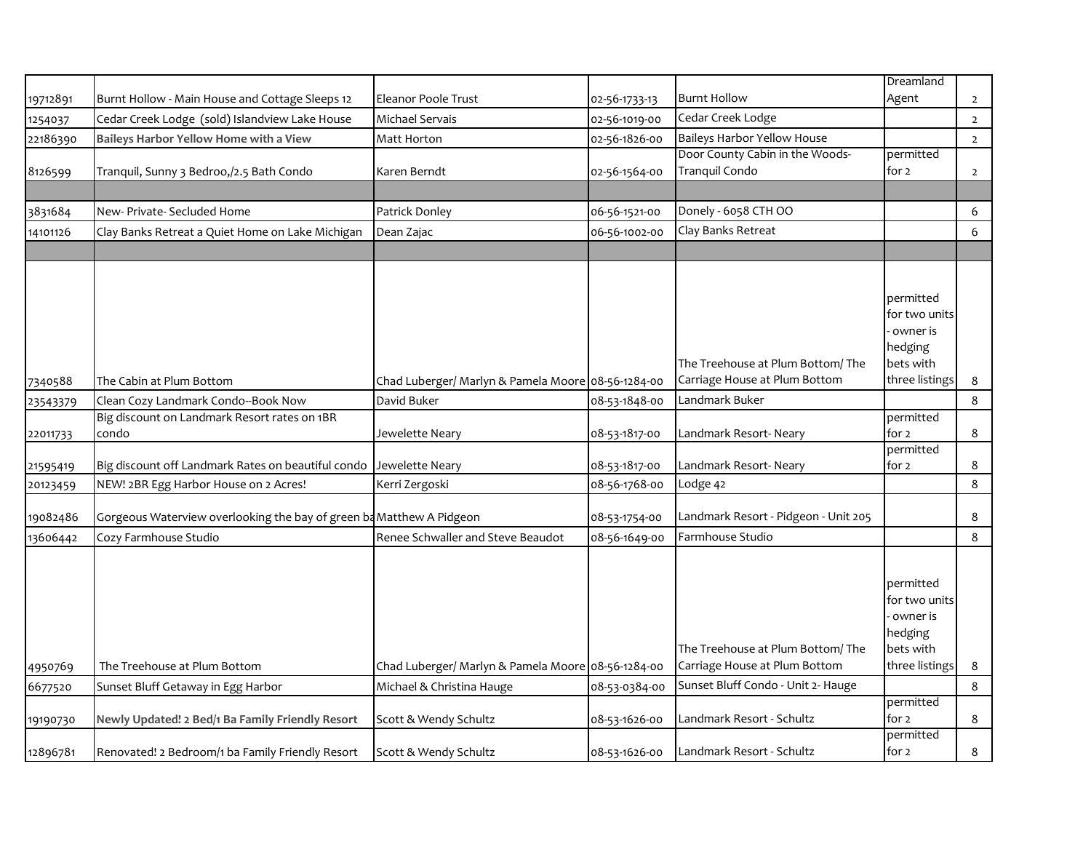|          |                                                                      |                                                    |               |                                                                    | Dreamland                                                                        |                |
|----------|----------------------------------------------------------------------|----------------------------------------------------|---------------|--------------------------------------------------------------------|----------------------------------------------------------------------------------|----------------|
| 19712891 | Burnt Hollow - Main House and Cottage Sleeps 12                      | Eleanor Poole Trust                                | 02-56-1733-13 | <b>Burnt Hollow</b>                                                | Agent                                                                            | $\overline{2}$ |
| 1254037  | Cedar Creek Lodge (sold) Islandview Lake House                       | Michael Servais                                    | 02-56-1019-00 | Cedar Creek Lodge                                                  |                                                                                  | $\overline{2}$ |
| 22186390 | Baileys Harbor Yellow Home with a View                               | Matt Horton                                        | 02-56-1826-00 | <b>Baileys Harbor Yellow House</b>                                 |                                                                                  | $\overline{2}$ |
| 8126599  | Tranquil, Sunny 3 Bedroo,/2.5 Bath Condo                             | Karen Berndt                                       | 02-56-1564-00 | Door County Cabin in the Woods-<br>Tranquil Condo                  | permitted<br>for 2                                                               | $\overline{2}$ |
|          |                                                                      |                                                    |               |                                                                    |                                                                                  |                |
| 3831684  | New- Private- Secluded Home                                          | Patrick Donley                                     | 06-56-1521-00 | Donely - 6058 CTH OO                                               |                                                                                  | 6              |
| 14101126 | Clay Banks Retreat a Quiet Home on Lake Michigan                     | Dean Zajac                                         | 06-56-1002-00 | Clay Banks Retreat                                                 |                                                                                  | 6              |
|          |                                                                      |                                                    |               |                                                                    |                                                                                  |                |
| 7340588  | The Cabin at Plum Bottom                                             | Chad Luberger/ Marlyn & Pamela Moore 08-56-1284-00 |               | The Treehouse at Plum Bottom/The<br>Carriage House at Plum Bottom  | permitted<br>for two units<br>owner is<br>hedging<br>bets with<br>three listings | 8              |
| 23543379 | Clean Cozy Landmark Condo--Book Now                                  | David Buker                                        | 08-53-1848-00 | Landmark Buker                                                     |                                                                                  | 8              |
|          | Big discount on Landmark Resort rates on 1BR                         |                                                    |               |                                                                    | permitted                                                                        |                |
| 22011733 | condo                                                                | Jewelette Neary                                    | 08-53-1817-00 | Landmark Resort-Neary                                              | for 2                                                                            | 8              |
| 21595419 | Big discount off Landmark Rates on beautiful condo Jewelette Neary   |                                                    | 08-53-1817-00 | Landmark Resort-Neary                                              | permitted<br>for 2                                                               | 8              |
| 20123459 | NEW! 2BR Egg Harbor House on 2 Acres!                                | Kerri Zergoski                                     | 08-56-1768-00 | Lodge 42                                                           |                                                                                  | 8              |
| 19082486 | Gorgeous Waterview overlooking the bay of green ba Matthew A Pidgeon |                                                    | 08-53-1754-00 | Landmark Resort - Pidgeon - Unit 205                               |                                                                                  | 8              |
| 13606442 | Cozy Farmhouse Studio                                                | Renee Schwaller and Steve Beaudot                  | 08-56-1649-00 | Farmhouse Studio                                                   |                                                                                  | 8              |
| 4950769  | The Treehouse at Plum Bottom                                         | Chad Luberger/ Marlyn & Pamela Moore 08-56-1284-00 |               | The Treehouse at Plum Bottom/ The<br>Carriage House at Plum Bottom | permitted<br>for two units<br>owner is<br>hedging<br>bets with<br>three listings | 8              |
| 6677520  | Sunset Bluff Getaway in Egg Harbor                                   | Michael & Christina Hauge                          | 08-53-0384-00 | Sunset Bluff Condo - Unit 2- Hauge                                 |                                                                                  | 8              |
|          |                                                                      |                                                    |               |                                                                    | permitted                                                                        |                |
| 19190730 | Newly Updated! 2 Bed/1 Ba Family Friendly Resort                     | Scott & Wendy Schultz                              | 08-53-1626-00 | Landmark Resort - Schultz                                          | for 2                                                                            | 8              |
| 12896781 | Renovated! 2 Bedroom/1 ba Family Friendly Resort                     | Scott & Wendy Schultz                              | 08-53-1626-00 | Landmark Resort - Schultz                                          | permitted<br>for 2                                                               | 8              |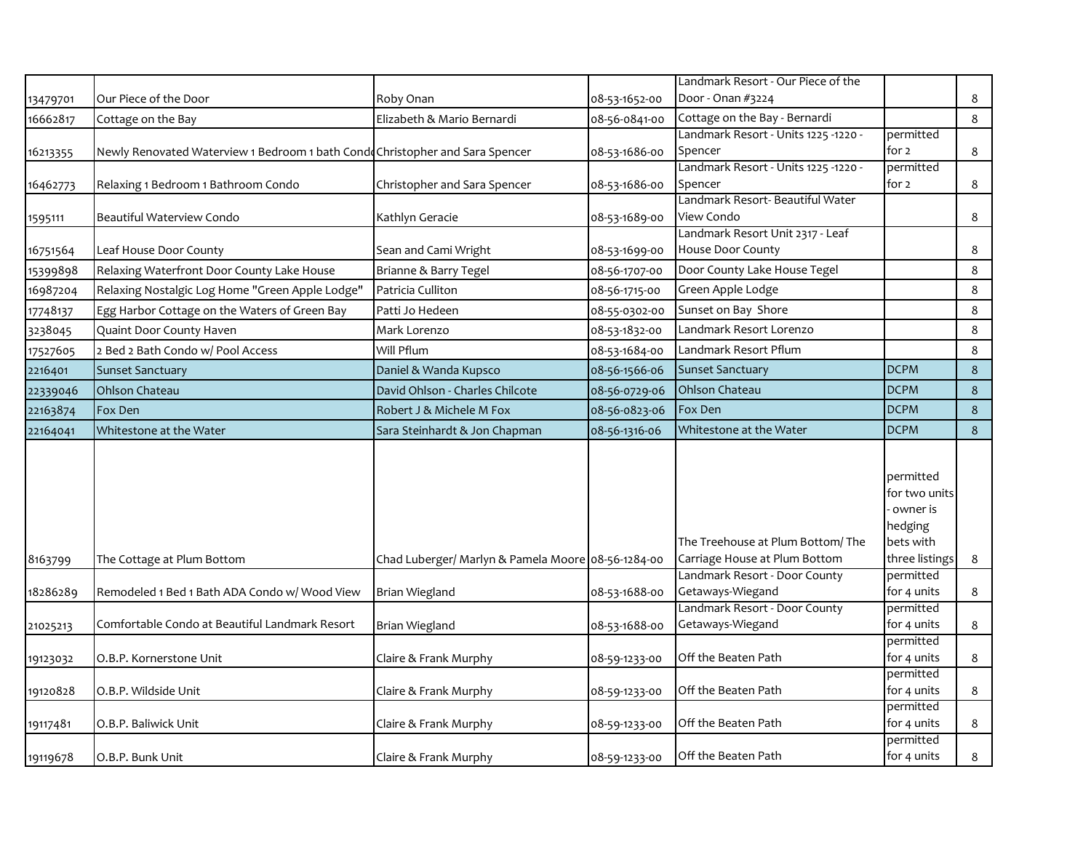|          |                                                                               |                                                    |               | Landmark Resort - Our Piece of the                                |                                                                                  |         |
|----------|-------------------------------------------------------------------------------|----------------------------------------------------|---------------|-------------------------------------------------------------------|----------------------------------------------------------------------------------|---------|
| 13479701 | Our Piece of the Door                                                         | Roby Onan                                          | 08-53-1652-00 | Door - Onan #3224                                                 |                                                                                  | 8       |
| 16662817 | Cottage on the Bay                                                            | Elizabeth & Mario Bernardi                         | 08-56-0841-00 | Cottage on the Bay - Bernardi                                     |                                                                                  | 8       |
|          |                                                                               |                                                    |               | - Landmark Resort - Units 1225 -1220                              | permitted                                                                        |         |
| 16213355 | Newly Renovated Waterview 1 Bedroom 1 bath Condo Christopher and Sara Spencer |                                                    | 08-53-1686-00 | Spencer                                                           | for 2                                                                            | 8       |
|          |                                                                               |                                                    |               | - Landmark Resort - Units 1225 -1220                              | permitted                                                                        |         |
| 16462773 | Relaxing 1 Bedroom 1 Bathroom Condo                                           | Christopher and Sara Spencer                       | 08-53-1686-00 | Spencer                                                           | for 2                                                                            | 8       |
|          |                                                                               |                                                    |               | Landmark Resort- Beautiful Water                                  |                                                                                  |         |
| 1595111  | Beautiful Waterview Condo                                                     | Kathlyn Geracie                                    | 08-53-1689-00 | View Condo                                                        |                                                                                  | 8       |
|          |                                                                               |                                                    |               | Landmark Resort Unit 2317 - Leaf                                  |                                                                                  |         |
| 16751564 | Leaf House Door County                                                        | Sean and Cami Wright                               | 08-53-1699-00 | House Door County                                                 |                                                                                  | 8       |
| 15399898 | Relaxing Waterfront Door County Lake House                                    | Brianne & Barry Tegel                              | 08-56-1707-00 | Door County Lake House Tegel                                      |                                                                                  | $\bf 8$ |
| 16987204 | Relaxing Nostalgic Log Home "Green Apple Lodge"                               | Patricia Culliton                                  | 08-56-1715-00 | Green Apple Lodge                                                 |                                                                                  | 8       |
| 17748137 | Egg Harbor Cottage on the Waters of Green Bay                                 | Patti Jo Hedeen                                    | 08-55-0302-00 | Sunset on Bay Shore                                               |                                                                                  | 8       |
| 3238045  | Quaint Door County Haven                                                      | Mark Lorenzo                                       | 08-53-1832-00 | Landmark Resort Lorenzo                                           |                                                                                  | 8       |
| 17527605 | 2 Bed 2 Bath Condo w/ Pool Access                                             | Will Pflum                                         | 08-53-1684-00 | Landmark Resort Pflum                                             |                                                                                  | 8       |
| 2216401  | <b>Sunset Sanctuary</b>                                                       | Daniel & Wanda Kupsco                              | 08-56-1566-06 | <b>Sunset Sanctuary</b>                                           | <b>DCPM</b>                                                                      | 8       |
| 22339046 | Ohlson Chateau                                                                | David Ohlson - Charles Chilcote                    | 08-56-0729-06 | Ohlson Chateau                                                    | <b>DCPM</b>                                                                      | $\bf 8$ |
| 22163874 | Fox Den                                                                       | Robert J & Michele M Fox                           | 08-56-0823-06 | Fox Den                                                           | <b>DCPM</b>                                                                      | 8       |
| 22164041 | Whitestone at the Water                                                       | Sara Steinhardt & Jon Chapman                      | 08-56-1316-06 | Whitestone at the Water                                           | <b>DCPM</b>                                                                      | 8       |
| 8163799  | The Cottage at Plum Bottom                                                    | Chad Luberger/ Marlyn & Pamela Moore 08-56-1284-00 |               | The Treehouse at Plum Bottom/The<br>Carriage House at Plum Bottom | permitted<br>for two units<br>owner is<br>hedging<br>bets with<br>three listings | 8       |
|          |                                                                               |                                                    |               | Landmark Resort - Door County                                     | permitted                                                                        |         |
| 18286289 | Remodeled 1 Bed 1 Bath ADA Condo w/ Wood View                                 | Brian Wiegland                                     | 08-53-1688-00 | Getaways-Wiegand                                                  | for 4 units                                                                      | 8       |
|          |                                                                               |                                                    |               | Landmark Resort - Door County                                     | permitted                                                                        |         |
| 21025213 | Comfortable Condo at Beautiful Landmark Resort                                | <b>Brian Wiegland</b>                              | 08-53-1688-00 | Getaways-Wiegand                                                  | for 4 units                                                                      | 8       |
|          |                                                                               |                                                    |               |                                                                   | permitted                                                                        |         |
| 19123032 | O.B.P. Kornerstone Unit                                                       | Claire & Frank Murphy                              | 08-59-1233-00 | Off the Beaten Path                                               | for 4 units                                                                      | 8       |
| 19120828 | O.B.P. Wildside Unit                                                          | Claire & Frank Murphy                              | 08-59-1233-00 | Off the Beaten Path                                               | permitted<br>for 4 units                                                         | 8       |
|          |                                                                               |                                                    |               |                                                                   | permitted                                                                        |         |
| 19117481 | O.B.P. Baliwick Unit                                                          | Claire & Frank Murphy                              | 08-59-1233-00 | Off the Beaten Path                                               | for 4 units                                                                      | 8       |
| 19119678 | O.B.P. Bunk Unit                                                              | Claire & Frank Murphy                              | 08-59-1233-00 | Off the Beaten Path                                               | permitted<br>for 4 units                                                         | 8       |
|          |                                                                               |                                                    |               |                                                                   |                                                                                  |         |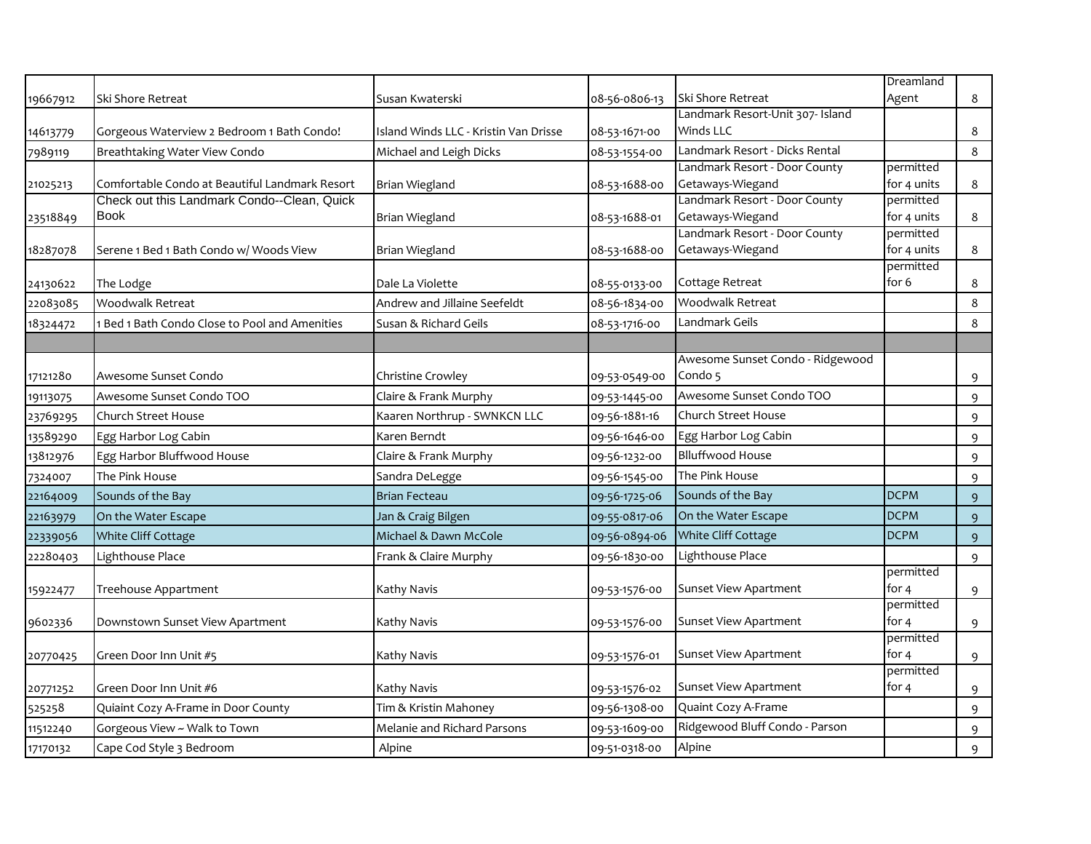|          |                                                |                                       |               |                                  | Dreamland          |   |
|----------|------------------------------------------------|---------------------------------------|---------------|----------------------------------|--------------------|---|
| 19667912 | Ski Shore Retreat                              | Susan Kwaterski                       | 08-56-0806-13 | Ski Shore Retreat                | Agent              | 8 |
|          |                                                |                                       |               | Landmark Resort-Unit 307- Island |                    |   |
| 14613779 | Gorgeous Waterview 2 Bedroom 1 Bath Condo!     | Island Winds LLC - Kristin Van Drisse | 08-53-1671-00 | Winds LLC                        |                    | 8 |
| 7989119  | Breathtaking Water View Condo                  | Michael and Leigh Dicks               | 08-53-1554-00 | Landmark Resort - Dicks Rental   |                    | 8 |
|          |                                                |                                       |               | Landmark Resort - Door County    | permitted          |   |
| 21025213 | Comfortable Condo at Beautiful Landmark Resort | Brian Wiegland                        | 08-53-1688-00 | Getaways-Wiegand                 | for 4 units        | 8 |
|          | Check out this Landmark Condo--Clean, Quick    |                                       |               | Landmark Resort - Door County    | permitted          |   |
| 23518849 | <b>Book</b>                                    | Brian Wiegland                        | 08-53-1688-01 | Getaways-Wiegand                 | for 4 units        | 8 |
|          |                                                |                                       |               | Landmark Resort - Door County    | permitted          |   |
| 18287078 | Serene 1 Bed 1 Bath Condo w/ Woods View        | Brian Wiegland                        | 08-53-1688-00 | Getaways-Wiegand                 | for 4 units        | 8 |
| 24130622 | The Lodge                                      | Dale La Violette                      | 08-55-0133-00 | Cottage Retreat                  | permitted<br>for 6 | 8 |
| 22083085 | <b>Woodwalk Retreat</b>                        | Andrew and Jillaine Seefeldt          | 08-56-1834-00 | Woodwalk Retreat                 |                    | 8 |
| 18324472 | 1 Bed 1 Bath Condo Close to Pool and Amenities | Susan & Richard Geils                 | 08-53-1716-00 | Landmark Geils                   |                    | 8 |
|          |                                                |                                       |               |                                  |                    |   |
|          |                                                |                                       |               | Awesome Sunset Condo - Ridgewood |                    |   |
| 17121280 | Awesome Sunset Condo                           | Christine Crowley                     | 09-53-0549-00 | Condo 5                          |                    | 9 |
| 19113075 | Awesome Sunset Condo TOO                       | Claire & Frank Murphy                 | 09-53-1445-00 | Awesome Sunset Condo TOO         |                    | 9 |
| 23769295 | Church Street House                            | Kaaren Northrup - SWNKCN LLC          | 09-56-1881-16 | Church Street House              |                    | 9 |
| 13589290 | Egg Harbor Log Cabin                           | Karen Berndt                          | 09-56-1646-00 | Egg Harbor Log Cabin             |                    | 9 |
| 13812976 | Egg Harbor Bluffwood House                     | Claire & Frank Murphy                 | 09-56-1232-00 | <b>Blluffwood House</b>          |                    | 9 |
| 7324007  | The Pink House                                 | Sandra DeLegge                        | 09-56-1545-00 | The Pink House                   |                    | 9 |
| 22164009 | Sounds of the Bay                              | <b>Brian Fecteau</b>                  | 09-56-1725-06 | Sounds of the Bay                | <b>DCPM</b>        | 9 |
| 22163979 | On the Water Escape                            | Jan & Craig Bilgen                    | 09-55-0817-06 | On the Water Escape              | <b>DCPM</b>        | 9 |
| 22339056 | White Cliff Cottage                            | Michael & Dawn McCole                 | 09-56-0894-06 | White Cliff Cottage              | <b>DCPM</b>        | 9 |
| 22280403 | Lighthouse Place                               | Frank & Claire Murphy                 | 09-56-1830-00 | Lighthouse Place                 |                    | 9 |
|          |                                                |                                       |               |                                  | permitted          |   |
| 15922477 | Treehouse Appartment                           | Kathy Navis                           | 09-53-1576-00 | Sunset View Apartment            | for $4$            | 9 |
|          |                                                |                                       |               |                                  | permitted          |   |
| 9602336  | Downstown Sunset View Apartment                | Kathy Navis                           | 09-53-1576-00 | Sunset View Apartment            | for 4              | 9 |
|          |                                                |                                       |               | <b>Sunset View Apartment</b>     | permitted<br>for 4 |   |
| 20770425 | Green Door Inn Unit #5                         | Kathy Navis                           | 09-53-1576-01 |                                  | permitted          | 9 |
| 20771252 | Green Door Inn Unit #6                         | Kathy Navis                           | 09-53-1576-02 | <b>Sunset View Apartment</b>     | for 4              | 9 |
| 525258   | Quiaint Cozy A-Frame in Door County            | Tim & Kristin Mahoney                 | 09-56-1308-00 | Quaint Cozy A-Frame              |                    | 9 |
| 11512240 | Gorgeous View ~ Walk to Town                   | Melanie and Richard Parsons           | 09-53-1609-00 | Ridgewood Bluff Condo - Parson   |                    | 9 |
| 17170132 | Cape Cod Style 3 Bedroom                       | Alpine                                | 09-51-0318-00 | Alpine                           |                    | 9 |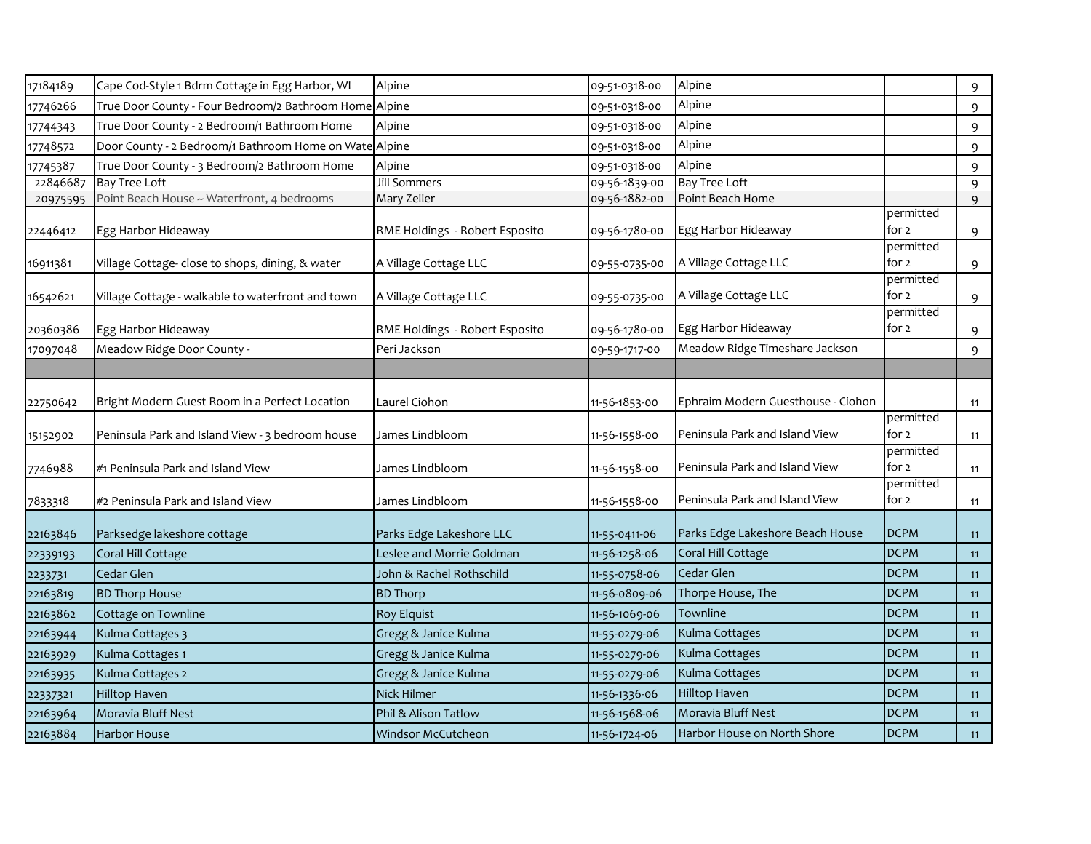| 17184189 | Cape Cod-Style 1 Bdrm Cottage in Egg Harbor, WI        | Alpine                         | 09-51-0318-00 | Alpine                             |                    | 9  |
|----------|--------------------------------------------------------|--------------------------------|---------------|------------------------------------|--------------------|----|
| 17746266 | True Door County - Four Bedroom/2 Bathroom Home Alpine |                                | 09-51-0318-00 | Alpine                             |                    | 9  |
| 17744343 | True Door County - 2 Bedroom/1 Bathroom Home           | Alpine                         | 09-51-0318-00 | Alpine                             |                    | 9  |
| 17748572 | Door County - 2 Bedroom/1 Bathroom Home on Wate Alpine |                                | 09-51-0318-00 | Alpine                             |                    | 9  |
| 17745387 | True Door County - 3 Bedroom/2 Bathroom Home           | Alpine                         | 09-51-0318-00 | Alpine                             |                    | 9  |
| 22846687 | <b>Bay Tree Loft</b>                                   | Jill Sommers                   | 09-56-1839-00 | <b>Bay Tree Loft</b>               |                    | 9  |
| 20975595 | Point Beach House ~ Waterfront, 4 bedrooms             | Mary Zeller                    | 09-56-1882-00 | Point Beach Home                   |                    | 9  |
| 22446412 | Egg Harbor Hideaway                                    | RME Holdings - Robert Esposito | 09-56-1780-00 | Egg Harbor Hideaway                | permitted<br>for 2 | 9  |
| 16911381 | Village Cottage- close to shops, dining, & water       | A Village Cottage LLC          | 09-55-0735-00 | A Village Cottage LLC              | permitted<br>for 2 | 9  |
| 16542621 | Village Cottage - walkable to waterfront and town      | A Village Cottage LLC          | 09-55-0735-00 | A Village Cottage LLC              | permitted<br>for 2 | 9  |
| 20360386 | Egg Harbor Hideaway                                    | RME Holdings - Robert Esposito | 09-56-1780-00 | Egg Harbor Hideaway                | permitted<br>for 2 | 9  |
| 17097048 | Meadow Ridge Door County -                             | Peri Jackson                   | 09-59-1717-00 | Meadow Ridge Timeshare Jackson     |                    | 9  |
|          |                                                        |                                |               |                                    |                    |    |
| 22750642 | Bright Modern Guest Room in a Perfect Location         | Laurel Ciohon                  | 11-56-1853-00 | Ephraim Modern Guesthouse - Ciohon |                    | 11 |
| 15152902 | Peninsula Park and Island View - 3 bedroom house       | James Lindbloom                | 11-56-1558-00 | Peninsula Park and Island View     | permitted<br>for 2 | 11 |
| 7746988  | #1 Peninsula Park and Island View                      | James Lindbloom                | 11-56-1558-00 | Peninsula Park and Island View     | permitted<br>for 2 | 11 |
| 7833318  | #2 Peninsula Park and Island View                      | James Lindbloom                | 11-56-1558-00 | Peninsula Park and Island View     | permitted<br>for 2 | 11 |
| 22163846 | Parksedge lakeshore cottage                            | Parks Edge Lakeshore LLC       | 11-55-0411-06 | Parks Edge Lakeshore Beach House   | <b>DCPM</b>        | 11 |
| 22339193 | Coral Hill Cottage                                     | Leslee and Morrie Goldman      | 11-56-1258-06 | Coral Hill Cottage                 | <b>DCPM</b>        | 11 |
| 2233731  | Cedar Glen                                             | John & Rachel Rothschild       | 11-55-0758-06 | Cedar Glen                         | <b>DCPM</b>        | 11 |
| 22163819 | <b>BD Thorp House</b>                                  | <b>BD Thorp</b>                | 11-56-0809-06 | Thorpe House, The                  | <b>DCPM</b>        | 11 |
| 22163862 | Cottage on Townline                                    | <b>Roy Elquist</b>             | 11-56-1069-06 | Townline                           | <b>DCPM</b>        | 11 |
| 22163944 | Kulma Cottages 3                                       | Gregg & Janice Kulma           | 11-55-0279-06 | Kulma Cottages                     | <b>DCPM</b>        | 11 |
| 22163929 | Kulma Cottages 1                                       | Gregg & Janice Kulma           | 11-55-0279-06 | Kulma Cottages                     | <b>DCPM</b>        | 11 |
| 22163935 | Kulma Cottages 2                                       | Gregg & Janice Kulma           | 11-55-0279-06 | Kulma Cottages                     | <b>DCPM</b>        | 11 |
| 22337321 | <b>Hilltop Haven</b>                                   | Nick Hilmer                    | 11-56-1336-06 | Hilltop Haven                      | <b>DCPM</b>        | 11 |
| 22163964 | Moravia Bluff Nest                                     | Phil & Alison Tatlow           | 11-56-1568-06 | Moravia Bluff Nest                 | <b>DCPM</b>        | 11 |
| 22163884 | <b>Harbor House</b>                                    | Windsor McCutcheon             | 11-56-1724-06 | Harbor House on North Shore        | <b>DCPM</b>        | 11 |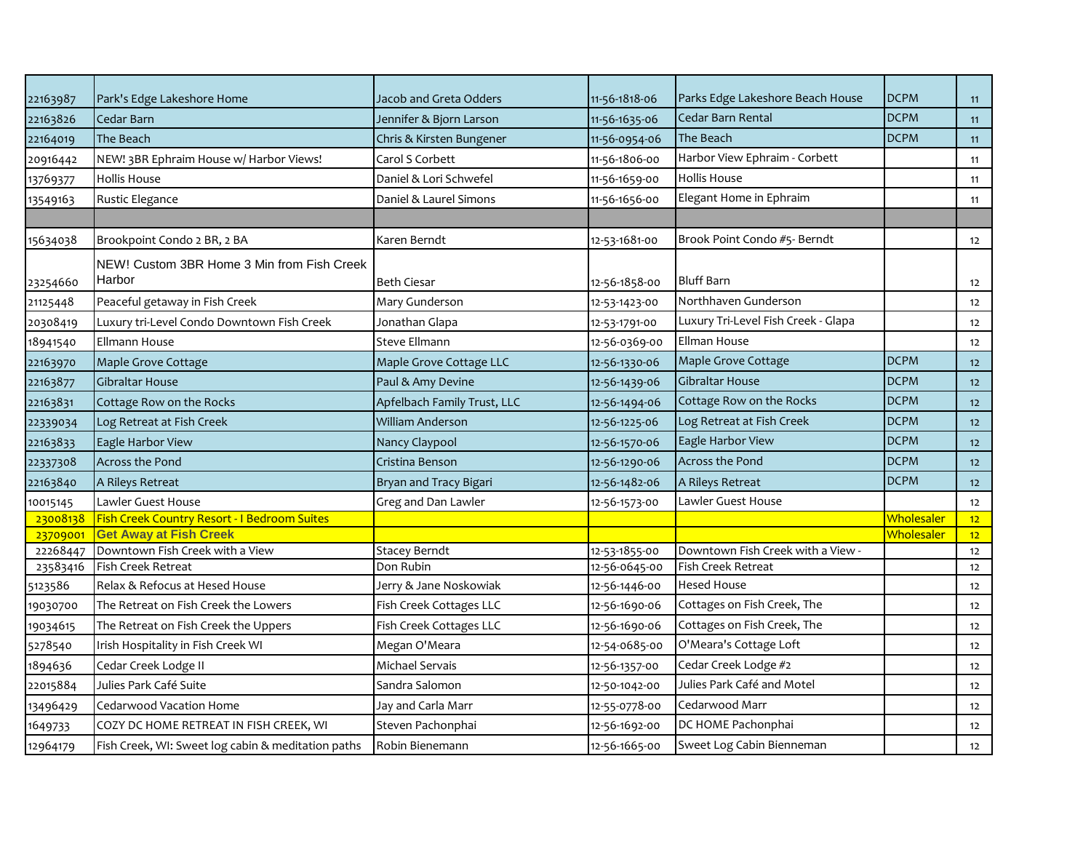| 22163987 | Park's Edge Lakeshore Home                           | Jacob and Greta Odders      | 11-56-1818-06 | Parks Edge Lakeshore Beach House    | <b>DCPM</b> | 11   |
|----------|------------------------------------------------------|-----------------------------|---------------|-------------------------------------|-------------|------|
| 22163826 | Cedar Barn                                           | Jennifer & Bjorn Larson     | 11-56-1635-06 | Cedar Barn Rental                   | <b>DCPM</b> | 11   |
| 22164019 | The Beach                                            | Chris & Kirsten Bungener    | 11-56-0954-06 | The Beach                           | <b>DCPM</b> | 11   |
| 20916442 | NEW! 3BR Ephraim House w/ Harbor Views!              | Carol S Corbett             | 11-56-1806-00 | Harbor View Ephraim - Corbett       |             | 11   |
| 13769377 | <b>Hollis House</b>                                  | Daniel & Lori Schwefel      | 11-56-1659-00 | Hollis House                        |             | 11   |
| 13549163 | Rustic Elegance                                      | Daniel & Laurel Simons      | 11-56-1656-00 | Elegant Home in Ephraim             |             | 11   |
|          |                                                      |                             |               |                                     |             |      |
| 15634038 | Brookpoint Condo 2 BR, 2 BA                          | Karen Berndt                | 12-53-1681-00 | Brook Point Condo #5- Berndt        |             | 12   |
| 23254660 | NEW! Custom 3BR Home 3 Min from Fish Creek<br>Harbor | <b>Beth Ciesar</b>          | 12-56-1858-00 | <b>Bluff Barn</b>                   |             | 12   |
| 21125448 | Peaceful getaway in Fish Creek                       | Mary Gunderson              | 12-53-1423-00 | Northhaven Gunderson                |             | 12   |
| 20308419 | Luxury tri-Level Condo Downtown Fish Creek           | Jonathan Glapa              | 12-53-1791-00 | Luxury Tri-Level Fish Creek - Glapa |             | 12   |
| 18941540 | Ellmann House                                        | Steve Ellmann               | 12-56-0369-00 | Ellman House                        |             | 12   |
| 22163970 | Maple Grove Cottage                                  | Maple Grove Cottage LLC     | 12-56-1330-06 | Maple Grove Cottage                 | <b>DCPM</b> | 12   |
| 22163877 | Gibraltar House                                      | Paul & Amy Devine           | 12-56-1439-06 | Gibraltar House                     | <b>DCPM</b> | 12   |
| 22163831 | Cottage Row on the Rocks                             | Apfelbach Family Trust, LLC | 12-56-1494-06 | Cottage Row on the Rocks            | <b>DCPM</b> | 12   |
| 22339034 | Log Retreat at Fish Creek                            | William Anderson            | 12-56-1225-06 | Log Retreat at Fish Creek           | <b>DCPM</b> | 12   |
| 22163833 | Eagle Harbor View                                    | Nancy Claypool              | 12-56-1570-06 | Eagle Harbor View                   | <b>DCPM</b> | 12   |
| 22337308 | <b>Across the Pond</b>                               | Cristina Benson             | 12-56-1290-06 | <b>Across the Pond</b>              | <b>DCPM</b> | 12   |
| 22163840 | A Rileys Retreat                                     | Bryan and Tracy Bigari      | 12-56-1482-06 | A Rileys Retreat                    | <b>DCPM</b> | $12$ |
| 10015145 | Lawler Guest House                                   | Greg and Dan Lawler         | 12-56-1573-00 | awler Guest House.                  |             | 12   |
| 23008138 | Fish Creek Country Resort - I Bedroom Suites         |                             |               |                                     | Wholesaler  | 12   |
| 23709001 | <b>Get Away at Fish Creek</b>                        |                             |               |                                     | Wholesaler  | 12   |
| 22268447 | Downtown Fish Creek with a View                      | <b>Stacey Berndt</b>        | 12-53-1855-00 | Downtown Fish Creek with a View -   |             | 12   |
| 23583416 | Fish Creek Retreat                                   | Don Rubin                   | 12-56-0645-00 | Fish Creek Retreat                  |             | 12   |
| 5123586  | Relax & Refocus at Hesed House                       | Jerry & Jane Noskowiak      | 12-56-1446-00 | <b>Hesed House</b>                  |             | 12   |
| 19030700 | The Retreat on Fish Creek the Lowers                 | Fish Creek Cottages LLC     | 12-56-1690-06 | Cottages on Fish Creek, The         |             | 12   |
| 19034615 | The Retreat on Fish Creek the Uppers                 | Fish Creek Cottages LLC     | 12-56-1690-06 | Cottages on Fish Creek, The         |             | 12   |
| 5278540  | Irish Hospitality in Fish Creek WI                   | Megan O'Meara               | 12-54-0685-00 | O'Meara's Cottage Loft              |             | 12   |
| 1894636  | Cedar Creek Lodge II                                 | Michael Servais             | 12-56-1357-00 | Cedar Creek Lodge #2                |             | 12   |
| 22015884 | Julies Park Café Suite                               | Sandra Salomon              | 12-50-1042-00 | Julies Park Café and Motel          |             | 12   |
| 13496429 | Cedarwood Vacation Home                              | Jay and Carla Marr          | 12-55-0778-00 | Cedarwood Marr                      |             | 12   |
| 1649733  | COZY DC HOME RETREAT IN FISH CREEK, WI               | Steven Pachonphai           | 12-56-1692-00 | DC HOME Pachonphai                  |             | 12   |
| 12964179 | Fish Creek, WI: Sweet log cabin & meditation paths   | Robin Bienemann             | 12-56-1665-00 | Sweet Log Cabin Bienneman           |             | 12   |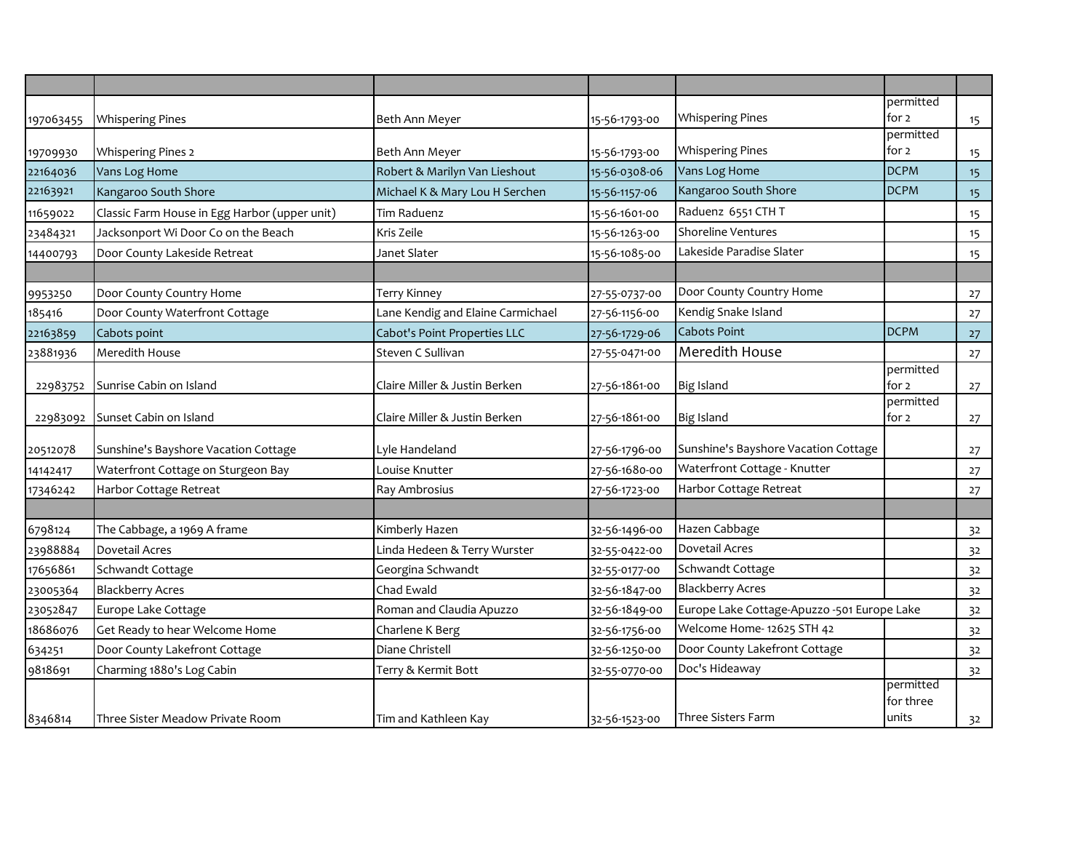|           |                                               |                                   |               |                                             | permitted          |    |
|-----------|-----------------------------------------------|-----------------------------------|---------------|---------------------------------------------|--------------------|----|
| 197063455 | <b>Whispering Pines</b>                       | Beth Ann Meyer                    | 15-56-1793-00 | <b>Whispering Pines</b>                     | for 2<br>permitted | 15 |
| 19709930  | <b>Whispering Pines 2</b>                     | Beth Ann Meyer                    | 15-56-1793-00 | <b>Whispering Pines</b>                     | for $2$            | 15 |
| 22164036  | Vans Log Home                                 | Robert & Marilyn Van Lieshout     | 15-56-0308-06 | Vans Log Home                               | <b>DCPM</b>        | 15 |
| 22163921  | Kangaroo South Shore                          | Michael K & Mary Lou H Serchen    | 15-56-1157-06 | Kangaroo South Shore                        | <b>DCPM</b>        | 15 |
| 11659022  | Classic Farm House in Egg Harbor (upper unit) | Tim Raduenz                       | 15-56-1601-00 | Raduenz 6551 CTH T                          |                    | 15 |
|           | Jacksonport Wi Door Co on the Beach           | Kris Zeile                        | 15-56-1263-00 | Shoreline Ventures                          |                    |    |
| 23484321  |                                               |                                   |               | Lakeside Paradise Slater                    |                    | 15 |
| 14400793  | Door County Lakeside Retreat                  | Janet Slater                      | 15-56-1085-00 |                                             |                    | 15 |
|           |                                               |                                   |               |                                             |                    |    |
| 9953250   | Door County Country Home                      | <b>Terry Kinney</b>               | 27-55-0737-00 | Door County Country Home                    |                    | 27 |
| 185416    | Door County Waterfront Cottage                | Lane Kendig and Elaine Carmichael | 27-56-1156-00 | Kendig Snake Island                         |                    | 27 |
| 22163859  | Cabots point                                  | Cabot's Point Properties LLC      | 27-56-1729-06 | <b>Cabots Point</b>                         | <b>DCPM</b>        | 27 |
| 23881936  | Meredith House                                | Steven C Sullivan                 | 27-55-0471-00 | Meredith House                              |                    | 27 |
|           | Sunrise Cabin on Island                       | Claire Miller & Justin Berken     |               | <b>Big Island</b>                           | permitted<br>for 2 |    |
| 22983752  |                                               |                                   | 27-56-1861-00 |                                             | permitted          | 27 |
| 22983092  | Sunset Cabin on Island                        | Claire Miller & Justin Berken     | 27-56-1861-00 | <b>Big Island</b>                           | for 2              | 27 |
|           |                                               |                                   |               | Sunshine's Bayshore Vacation Cottage        |                    |    |
| 20512078  | Sunshine's Bayshore Vacation Cottage          | Lyle Handeland                    | 27-56-1796-00 | Waterfront Cottage - Knutter                |                    | 27 |
| 14142417  | Waterfront Cottage on Sturgeon Bay            | Louise Knutter                    | 27-56-1680-00 |                                             |                    | 27 |
| 17346242  | Harbor Cottage Retreat                        | Ray Ambrosius                     | 27-56-1723-00 | Harbor Cottage Retreat                      |                    | 27 |
|           |                                               |                                   |               |                                             |                    |    |
| 6798124   | The Cabbage, a 1969 A frame                   | Kimberly Hazen                    | 32-56-1496-00 | Hazen Cabbage                               |                    | 32 |
| 23988884  | <b>Dovetail Acres</b>                         | Linda Hedeen & Terry Wurster      | 32-55-0422-00 | Dovetail Acres                              |                    | 32 |
| 17656861  | Schwandt Cottage                              | Georgina Schwandt                 | 32-55-0177-00 | Schwandt Cottage                            |                    | 32 |
| 23005364  | <b>Blackberry Acres</b>                       | Chad Ewald                        | 32-56-1847-00 | <b>Blackberry Acres</b>                     |                    | 32 |
| 23052847  | Europe Lake Cottage                           | Roman and Claudia Apuzzo          | 32-56-1849-00 | Europe Lake Cottage-Apuzzo -501 Europe Lake |                    | 32 |
| 18686076  | Get Ready to hear Welcome Home                | Charlene K Berg                   | 32-56-1756-00 | Welcome Home-12625 STH 42                   |                    | 32 |
| 634251    | Door County Lakefront Cottage                 | Diane Christell                   | 32-56-1250-00 | Door County Lakefront Cottage               |                    | 32 |
| 9818691   | Charming 1880's Log Cabin                     | Terry & Kermit Bott               | 32-55-0770-00 | Doc's Hideaway                              |                    | 32 |
|           |                                               |                                   |               |                                             | permitted          |    |
|           |                                               |                                   |               |                                             | for three          |    |
| 8346814   | Three Sister Meadow Private Room              | Tim and Kathleen Kay              | 32-56-1523-00 | Three Sisters Farm                          | units              | 32 |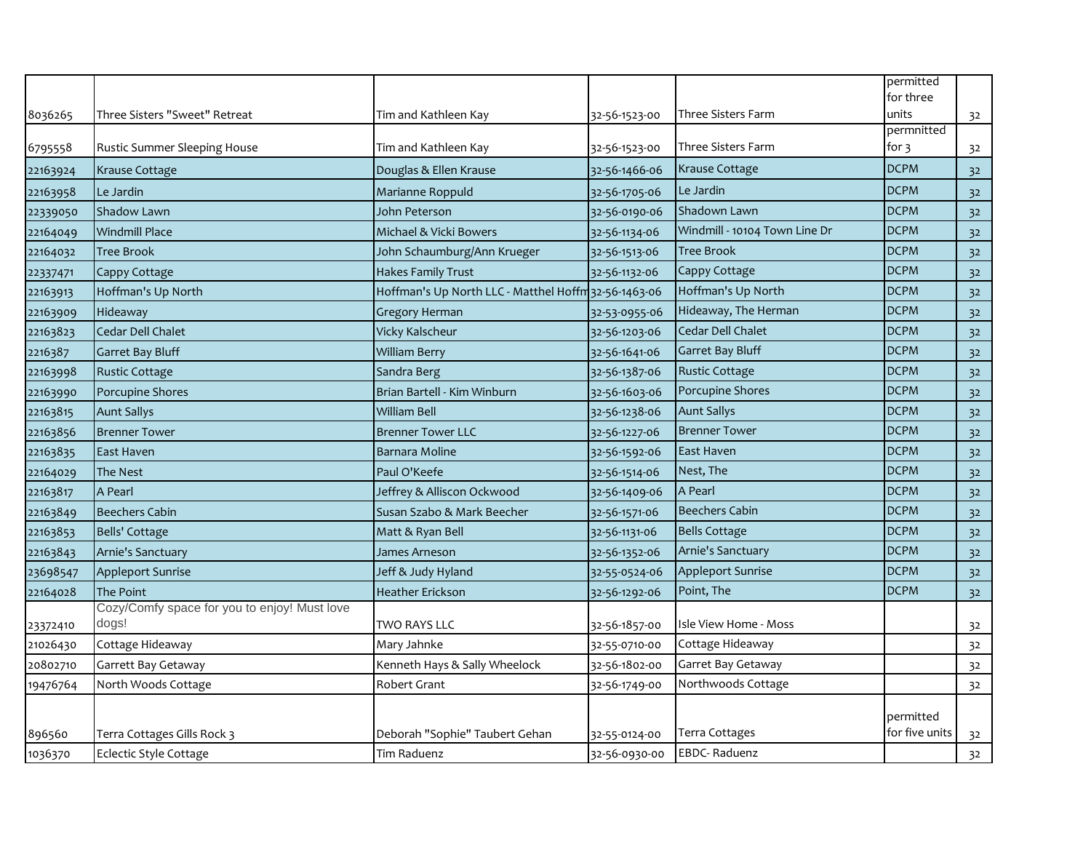|          |                                              |                                                      |               |                               | permitted          |    |
|----------|----------------------------------------------|------------------------------------------------------|---------------|-------------------------------|--------------------|----|
| 8036265  | Three Sisters "Sweet" Retreat                | Tim and Kathleen Kay                                 | 32-56-1523-00 | Three Sisters Farm            | for three<br>units | 32 |
|          |                                              |                                                      |               |                               | permnitted         |    |
| 6795558  | Rustic Summer Sleeping House                 | Tim and Kathleen Kay                                 | 32-56-1523-00 | Three Sisters Farm            | for $3$            | 32 |
| 22163924 | Krause Cottage                               | Douglas & Ellen Krause                               | 32-56-1466-06 | <b>Krause Cottage</b>         | <b>DCPM</b>        | 32 |
| 22163958 | Le Jardin                                    | Marianne Roppuld                                     | 32-56-1705-06 | Le Jardin                     | <b>DCPM</b>        | 32 |
| 22339050 | Shadow Lawn                                  | John Peterson                                        | 32-56-0190-06 | Shadown Lawn                  | <b>DCPM</b>        | 32 |
| 22164049 | <b>Windmill Place</b>                        | Michael & Vicki Bowers                               | 32-56-1134-06 | Windmill - 10104 Town Line Dr | <b>DCPM</b>        | 32 |
| 22164032 | <b>Tree Brook</b>                            | John Schaumburg/Ann Krueger                          | 32-56-1513-06 | <b>Tree Brook</b>             | <b>DCPM</b>        | 32 |
| 22337471 | Cappy Cottage                                | <b>Hakes Family Trust</b>                            | 32-56-1132-06 | Cappy Cottage                 | <b>DCPM</b>        | 32 |
| 22163913 | Hoffman's Up North                           | Hoffman's Up North LLC - Matthel Hoffm 32-56-1463-06 |               | Hoffman's Up North            | <b>DCPM</b>        | 32 |
| 22163909 | Hideaway                                     | <b>Gregory Herman</b>                                | 32-53-0955-06 | Hideaway, The Herman          | <b>DCPM</b>        | 32 |
| 22163823 | Cedar Dell Chalet                            | Vicky Kalscheur                                      | 32-56-1203-06 | <b>Cedar Dell Chalet</b>      | <b>DCPM</b>        | 32 |
| 2216387  | <b>Garret Bay Bluff</b>                      | <b>William Berry</b>                                 | 32-56-1641-06 | Garret Bay Bluff              | <b>DCPM</b>        | 32 |
| 22163998 | <b>Rustic Cottage</b>                        | Sandra Berg                                          | 32-56-1387-06 | <b>Rustic Cottage</b>         | <b>DCPM</b>        | 32 |
| 22163990 | Porcupine Shores                             | Brian Bartell - Kim Winburn                          | 32-56-1603-06 | Porcupine Shores              | <b>DCPM</b>        | 32 |
| 22163815 | <b>Aunt Sallys</b>                           | <b>William Bell</b>                                  | 32-56-1238-06 | <b>Aunt Sallys</b>            | <b>DCPM</b>        | 32 |
| 22163856 | <b>Brenner Tower</b>                         | <b>Brenner Tower LLC</b>                             | 32-56-1227-06 | <b>Brenner Tower</b>          | <b>DCPM</b>        | 32 |
| 22163835 | East Haven                                   | Barnara Moline                                       | 32-56-1592-06 | East Haven                    | <b>DCPM</b>        | 32 |
| 22164029 | <b>The Nest</b>                              | Paul O'Keefe                                         | 32-56-1514-06 | Nest, The                     | <b>DCPM</b>        | 32 |
| 22163817 | A Pearl                                      | Jeffrey & Alliscon Ockwood                           | 32-56-1409-06 | A Pearl                       | <b>DCPM</b>        | 32 |
| 22163849 | <b>Beechers Cabin</b>                        | Susan Szabo & Mark Beecher                           | 32-56-1571-06 | <b>Beechers Cabin</b>         | <b>DCPM</b>        | 32 |
| 22163853 | Bells' Cottage                               | Matt & Ryan Bell                                     | 32-56-1131-06 | <b>Bells Cottage</b>          | <b>DCPM</b>        | 32 |
| 22163843 | Arnie's Sanctuary                            | James Arneson                                        | 32-56-1352-06 | Arnie's Sanctuary             | <b>DCPM</b>        | 32 |
| 23698547 | <b>Appleport Sunrise</b>                     | Jeff & Judy Hyland                                   | 32-55-0524-06 | Appleport Sunrise             | <b>DCPM</b>        | 32 |
| 22164028 | The Point                                    | <b>Heather Erickson</b>                              | 32-56-1292-06 | Point, The                    | <b>DCPM</b>        | 32 |
|          | Cozy/Comfy space for you to enjoy! Must love |                                                      |               |                               |                    |    |
| 23372410 | dogs!                                        | TWO RAYS LLC                                         | 32-56-1857-00 | Isle View Home - Moss         |                    | 32 |
| 21026430 | Cottage Hideaway                             | Mary Jahnke                                          | 32-55-0710-00 | Cottage Hideaway              |                    | 32 |
| 20802710 | Garrett Bay Getaway                          | Kenneth Hays & Sally Wheelock                        | 32-56-1802-00 | Garret Bay Getaway            |                    | 32 |
| 19476764 | North Woods Cottage                          | Robert Grant                                         | 32-56-1749-00 | Northwoods Cottage            |                    | 32 |
|          |                                              |                                                      |               |                               | permitted          |    |
| 896560   | Terra Cottages Gills Rock 3                  | Deborah "Sophie" Taubert Gehan                       | 32-55-0124-00 | Terra Cottages                | for five units     | 32 |
| 1036370  | Eclectic Style Cottage                       | Tim Raduenz                                          | 32-56-0930-00 | <b>EBDC-Raduenz</b>           |                    | 32 |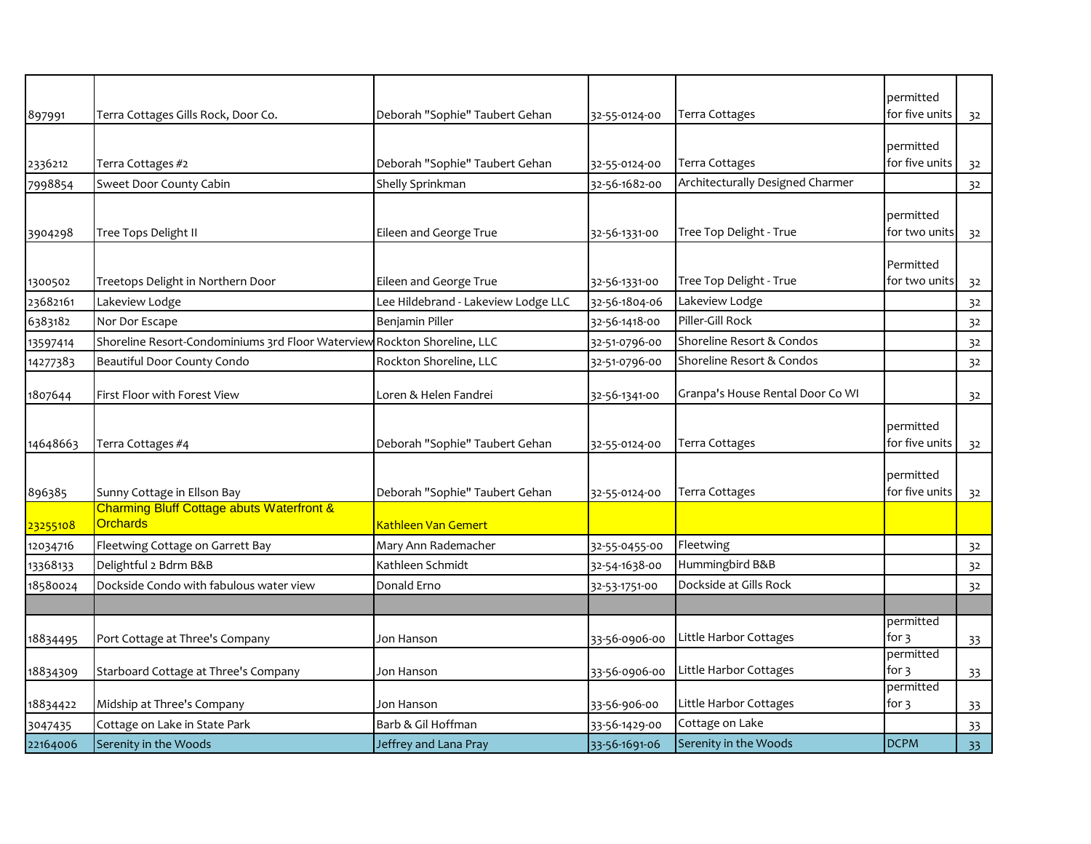| 897991   | Terra Cottages Gills Rock, Door Co.                                      | Deborah "Sophie" Taubert Gehan      | 32-55-0124-00 | Terra Cottages                   | permitted<br>for five units | 32             |
|----------|--------------------------------------------------------------------------|-------------------------------------|---------------|----------------------------------|-----------------------------|----------------|
|          |                                                                          |                                     |               |                                  |                             |                |
|          |                                                                          |                                     |               |                                  | permitted                   |                |
| 2336212  | Terra Cottages #2                                                        | Deborah "Sophie" Taubert Gehan      | 32-55-0124-00 | Terra Cottages                   | for five units              | 32             |
| 7998854  | Sweet Door County Cabin                                                  | Shelly Sprinkman                    | 32-56-1682-00 | Architecturally Designed Charmer |                             | 32             |
|          |                                                                          |                                     |               |                                  | permitted                   |                |
| 3904298  | Tree Tops Delight II                                                     | Eileen and George True              | 32-56-1331-00 | Tree Top Delight - True          | for two units               | 32             |
|          |                                                                          |                                     |               |                                  | Permitted                   |                |
| 1300502  | Treetops Delight in Northern Door                                        | Eileen and George True              | 32-56-1331-00 | Tree Top Delight - True          | for two units               | 32             |
| 23682161 | Lakeview Lodge                                                           | Lee Hildebrand - Lakeview Lodge LLC | 32-56-1804-06 | Lakeview Lodge                   |                             | 32             |
| 6383182  | Nor Dor Escape                                                           | Benjamin Piller                     | 32-56-1418-00 | Piller-Gill Rock                 |                             | 32             |
| 13597414 | Shoreline Resort-Condominiums 3rd Floor Waterview Rockton Shoreline, LLC |                                     | 32-51-0796-00 | Shoreline Resort & Condos        |                             | 32             |
| 14277383 | Beautiful Door County Condo                                              | Rockton Shoreline, LLC              | 32-51-0796-00 | Shoreline Resort & Condos        |                             | 32             |
|          |                                                                          |                                     |               |                                  |                             |                |
| 1807644  | First Floor with Forest View                                             | Loren & Helen Fandrei               | 32-56-1341-00 | Granpa's House Rental Door Co WI |                             | 32             |
|          |                                                                          |                                     |               |                                  | permitted                   |                |
| 14648663 | Terra Cottages #4                                                        | Deborah "Sophie" Taubert Gehan      | 32-55-0124-00 | Terra Cottages                   | for five units              | 3 <sup>2</sup> |
|          |                                                                          |                                     |               |                                  |                             |                |
|          |                                                                          |                                     |               |                                  | permitted                   |                |
| 896385   | Sunny Cottage in Ellson Bay                                              | Deborah "Sophie" Taubert Gehan      | 32-55-0124-00 | Terra Cottages                   | for five units              | 32             |
| 23255108 | <b>Charming Bluff Cottage abuts Waterfront &amp;</b><br><b>Orchards</b>  | Kathleen Van Gemert                 |               |                                  |                             |                |
| 12034716 | Fleetwing Cottage on Garrett Bay                                         | Mary Ann Rademacher                 | 32-55-0455-00 | Fleetwing                        |                             | 32             |
| 13368133 | Delightful 2 Bdrm B&B                                                    | Kathleen Schmidt                    | 32-54-1638-00 | Hummingbird B&B                  |                             | 32             |
| 18580024 | Dockside Condo with fabulous water view                                  | Donald Erno                         | 32-53-1751-00 | Dockside at Gills Rock           |                             | 32             |
|          |                                                                          |                                     |               |                                  |                             |                |
|          |                                                                          |                                     |               |                                  | permitted                   |                |
| 18834495 | Port Cottage at Three's Company                                          | Jon Hanson                          | 33-56-0906-00 | Little Harbor Cottages           | for 3                       | 33             |
|          |                                                                          |                                     |               |                                  | permitted                   |                |
|          |                                                                          |                                     |               |                                  |                             |                |
| 18834309 | Starboard Cottage at Three's Company                                     | Jon Hanson                          | 33-56-0906-00 | Little Harbor Cottages           | for $3$<br>permitted        | 33             |
| 18834422 | Midship at Three's Company                                               | Jon Hanson                          | 33-56-906-00  | Little Harbor Cottages           | for 3                       | 33             |
| 3047435  | Cottage on Lake in State Park                                            | Barb & Gil Hoffman                  | 33-56-1429-00 | Cottage on Lake                  |                             | 33             |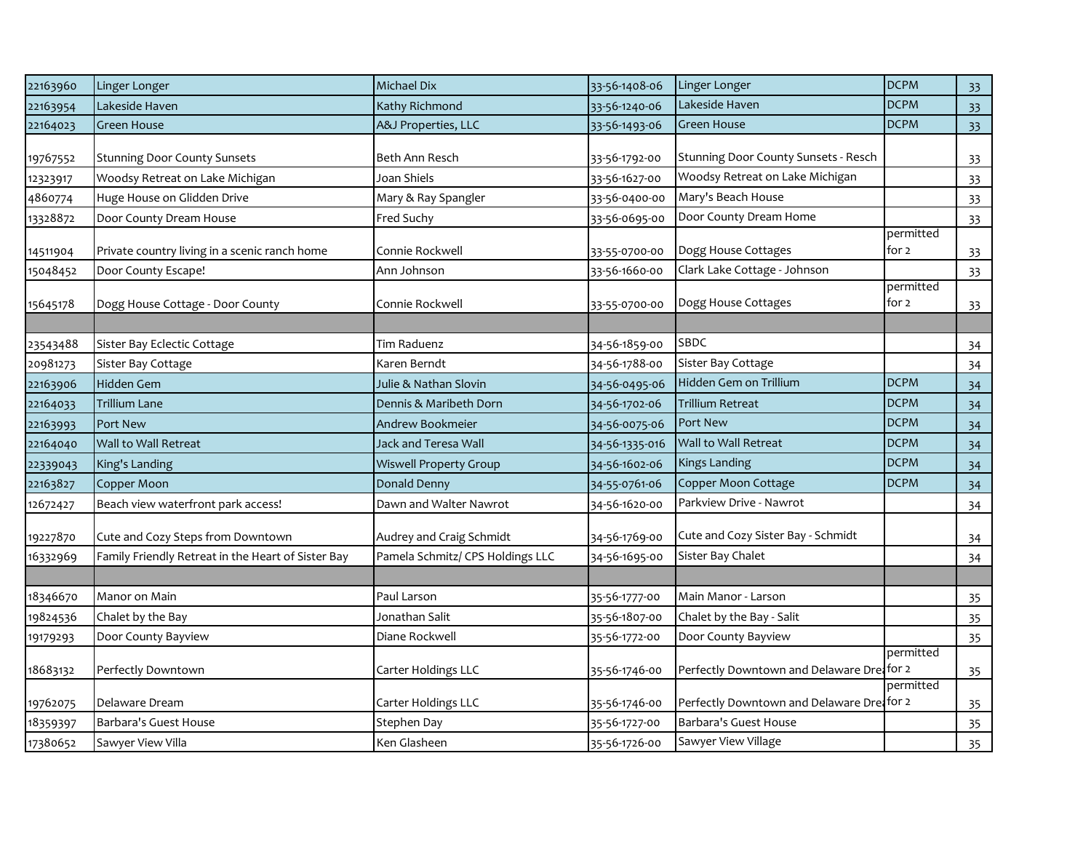| 22163960 | Linger Longer                                      | Michael Dix                      | 33-56-1408-06  | Linger Longer                              | <b>DCPM</b>        | 33              |
|----------|----------------------------------------------------|----------------------------------|----------------|--------------------------------------------|--------------------|-----------------|
| 22163954 | Lakeside Haven                                     | Kathy Richmond                   | 33-56-1240-06  | Lakeside Haven                             | <b>DCPM</b>        | 33              |
| 22164023 | <b>Green House</b>                                 | A&J Properties, LLC              | 33-56-1493-06  | Green House                                | <b>DCPM</b>        | 33 <sup>°</sup> |
| 19767552 | <b>Stunning Door County Sunsets</b>                | Beth Ann Resch                   | 33-56-1792-00  | Stunning Door County Sunsets - Resch       |                    | 33              |
| 12323917 | Woodsy Retreat on Lake Michigan                    | Joan Shiels                      | 33-56-1627-00  | Woodsy Retreat on Lake Michigan            |                    | 33              |
| 4860774  | Huge House on Glidden Drive                        | Mary & Ray Spangler              | 33-56-0400-00  | Mary's Beach House                         |                    | 33              |
| 13328872 | Door County Dream House                            | Fred Suchy                       | 33-56-0695-00  | Door County Dream Home                     |                    | 33              |
| 14511904 | Private country living in a scenic ranch home      | Connie Rockwell                  | 33-55-0700-00  | Dogg House Cottages                        | permitted<br>for 2 | 33              |
| 15048452 | Door County Escape!                                | Ann Johnson                      | 33-56-1660-00  | Clark Lake Cottage - Johnson               |                    | 33              |
| 15645178 | Dogg House Cottage - Door County                   | Connie Rockwell                  | 33-55-0700-00  | Dogg House Cottages                        | permitted<br>for 2 | 33              |
| 23543488 | Sister Bay Eclectic Cottage                        | Tim Raduenz                      | 34-56-1859-00  | SBDC                                       |                    | 34              |
| 20981273 | Sister Bay Cottage                                 | Karen Berndt                     | 34-56-1788-00  | Sister Bay Cottage                         |                    | 34              |
| 22163906 | Hidden Gem                                         | Julie & Nathan Slovin            | 34-56-0495-06  | Hidden Gem on Trillium                     | <b>DCPM</b>        | 34              |
| 22164033 | <b>Trillium Lane</b>                               | Dennis & Maribeth Dorn           | 34-56-1702-06  | <b>Trillium Retreat</b>                    | <b>DCPM</b>        | 34              |
| 22163993 | Port New                                           | Andrew Bookmeier                 | 34-56-0075-06  | Port New                                   | <b>DCPM</b>        | 34              |
| 22164040 | Wall to Wall Retreat                               | Jack and Teresa Wall             | 34-56-1335-016 | Wall to Wall Retreat                       | <b>DCPM</b>        | 34              |
| 22339043 | King's Landing                                     | <b>Wiswell Property Group</b>    | 34-56-1602-06  | <b>Kings Landing</b>                       | <b>DCPM</b>        | 34              |
| 22163827 | Copper Moon                                        | Donald Denny                     | 34-55-0761-06  | Copper Moon Cottage                        | <b>DCPM</b>        | 34              |
| 12672427 | Beach view waterfront park access!                 | Dawn and Walter Nawrot           | 34-56-1620-00  | Parkview Drive - Nawrot                    |                    | 34              |
| 19227870 | Cute and Cozy Steps from Downtown                  | Audrey and Craig Schmidt         | 34-56-1769-00  | Cute and Cozy Sister Bay - Schmidt         |                    | 34              |
| 16332969 | Family Friendly Retreat in the Heart of Sister Bay | Pamela Schmitz/ CPS Holdings LLC | 34-56-1695-00  | Sister Bay Chalet                          |                    | 34              |
|          |                                                    |                                  |                |                                            |                    |                 |
| 18346670 | Manor on Main                                      | Paul Larson                      | 35-56-1777-00  | Main Manor - Larson                        |                    | 35              |
| 19824536 | Chalet by the Bay                                  | Jonathan Salit                   | 35-56-1807-00  | Chalet by the Bay - Salit                  |                    | 35              |
| 19179293 | Door County Bayview                                | Diane Rockwell                   | 35-56-1772-00  | Door County Bayview                        |                    | 35              |
| 18683132 | Perfectly Downtown                                 | Carter Holdings LLC              | 35-56-1746-00  | Perfectly Downtown and Delaware Drei for 2 | permitted          | 35              |
|          |                                                    |                                  |                |                                            | permitted          |                 |
| 19762075 | Delaware Dream                                     | Carter Holdings LLC              | 35-56-1746-00  | Perfectly Downtown and Delaware Dreafor 2  |                    | 35              |
| 18359397 | Barbara's Guest House                              | Stephen Day                      | 35-56-1727-00  | Barbara's Guest House                      |                    | 35              |
| 17380652 | Sawyer View Villa                                  | Ken Glasheen                     | 35-56-1726-00  | Sawyer View Village                        |                    | 35              |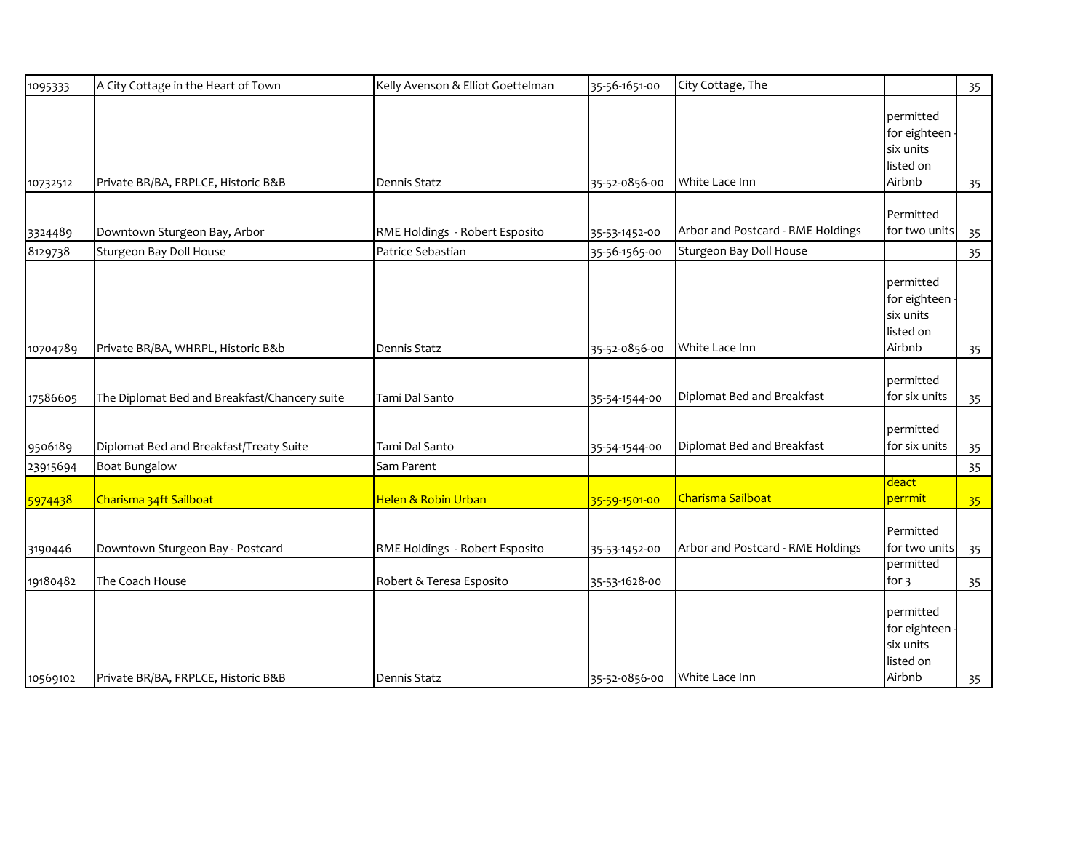| 1095333  | A City Cottage in the Heart of Town           | Kelly Avenson & Elliot Goettelman | 35-56-1651-00 | City Cottage, The                 |                                                               | 35 |
|----------|-----------------------------------------------|-----------------------------------|---------------|-----------------------------------|---------------------------------------------------------------|----|
| 10732512 | Private BR/BA, FRPLCE, Historic B&B           | Dennis Statz                      | 35-52-0856-00 | White Lace Inn                    | permitted<br>for eighteen<br>six units<br>listed on<br>Airbnb | 35 |
|          |                                               |                                   |               |                                   |                                                               |    |
| 3324489  | Downtown Sturgeon Bay, Arbor                  | RME Holdings - Robert Esposito    | 35-53-1452-00 | Arbor and Postcard - RME Holdings | Permitted<br>for two units                                    | 35 |
| 8129738  | Sturgeon Bay Doll House                       | Patrice Sebastian                 | 35-56-1565-00 | Sturgeon Bay Doll House           |                                                               | 35 |
| 10704789 | Private BR/BA, WHRPL, Historic B&b            | Dennis Statz                      | 35-52-0856-00 | White Lace Inn                    | permitted<br>for eighteen<br>six units<br>listed on<br>Airbnb | 35 |
|          |                                               |                                   |               |                                   | permitted                                                     |    |
| 17586605 | The Diplomat Bed and Breakfast/Chancery suite | Tami Dal Santo                    | 35-54-1544-00 | Diplomat Bed and Breakfast        | for six units                                                 | 35 |
| 9506189  | Diplomat Bed and Breakfast/Treaty Suite       | Tami Dal Santo                    | 35-54-1544-00 | Diplomat Bed and Breakfast        | permitted<br>for six units                                    | 35 |
| 23915694 | <b>Boat Bungalow</b>                          | Sam Parent                        |               |                                   |                                                               | 35 |
| 5974438  | Charisma 34ft Sailboat                        | Helen & Robin Urban               | 35-59-1501-00 | Charisma Sailboat                 | deact<br>perrmit                                              | 35 |
| 3190446  | Downtown Sturgeon Bay - Postcard              | RME Holdings - Robert Esposito    | 35-53-1452-00 | Arbor and Postcard - RME Holdings | Permitted<br>for two units                                    | 35 |
| 19180482 | The Coach House                               | Robert & Teresa Esposito          | 35-53-1628-00 |                                   | permitted<br>for $\frac{3}{5}$                                | 35 |
| 10569102 | Private BR/BA, FRPLCE, Historic B&B           | <b>Dennis Statz</b>               | 35-52-0856-00 | White Lace Inn                    | permitted<br>for eighteen<br>six units<br>listed on<br>Airbnb | 35 |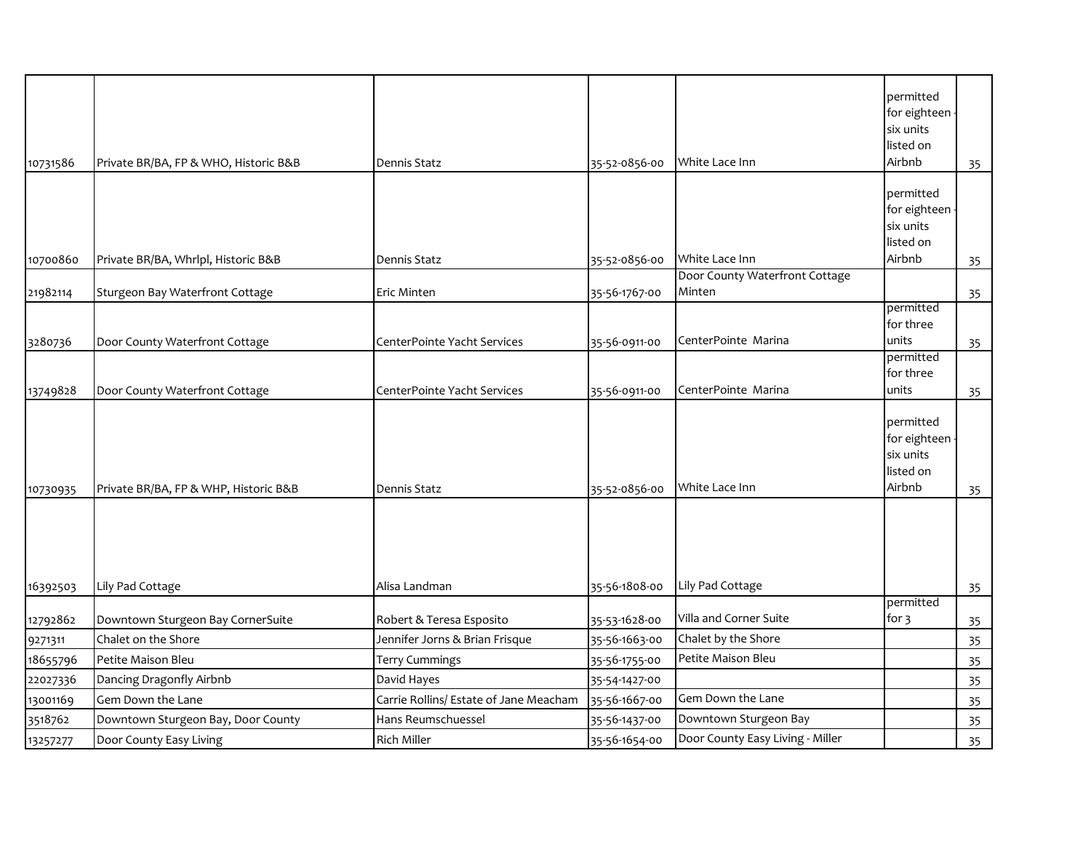|          |                                       |                                        |               |                                  | permitted                 |    |
|----------|---------------------------------------|----------------------------------------|---------------|----------------------------------|---------------------------|----|
|          |                                       |                                        |               |                                  | for eighteen<br>six units |    |
|          |                                       |                                        |               |                                  | listed on                 |    |
| 10731586 | Private BR/BA, FP & WHO, Historic B&B | Dennis Statz                           | 35-52-0856-00 | White Lace Inn                   | Airbnb                    |    |
|          |                                       |                                        |               |                                  |                           | 35 |
|          |                                       |                                        |               |                                  | permitted                 |    |
|          |                                       |                                        |               |                                  | for eighteen              |    |
|          |                                       |                                        |               |                                  | six units                 |    |
|          |                                       |                                        |               |                                  | listed on                 |    |
| 10700860 | Private BR/BA, Whrlpl, Historic B&B   | Dennis Statz                           | 35-52-0856-00 | White Lace Inn                   | Airbnb                    | 35 |
|          |                                       |                                        |               | Door County Waterfront Cottage   |                           |    |
| 21982114 | Sturgeon Bay Waterfront Cottage       | Eric Minten                            | 35-56-1767-00 | Minten                           |                           | 35 |
|          |                                       |                                        |               |                                  | permitted<br>for three    |    |
|          |                                       |                                        |               | CenterPointe Marina              | units                     |    |
| 3280736  | Door County Waterfront Cottage        | CenterPointe Yacht Services            | 35-56-0911-00 |                                  | permitted                 | 35 |
|          |                                       |                                        |               |                                  | for three                 |    |
| 13749828 | Door County Waterfront Cottage        | CenterPointe Yacht Services            | 35-56-0911-00 | CenterPointe Marina              | units                     | 35 |
|          |                                       |                                        |               |                                  |                           |    |
|          |                                       |                                        |               |                                  | permitted                 |    |
|          |                                       |                                        |               |                                  | for eighteen              |    |
|          |                                       |                                        |               |                                  | six units                 |    |
|          |                                       |                                        |               |                                  | listed on                 |    |
| 10730935 | Private BR/BA, FP & WHP, Historic B&B | Dennis Statz                           | 35-52-0856-00 | White Lace Inn                   | Airbnb                    | 35 |
|          |                                       |                                        |               |                                  |                           |    |
|          |                                       |                                        |               |                                  |                           |    |
|          |                                       |                                        |               |                                  |                           |    |
|          |                                       |                                        |               |                                  |                           |    |
| 16392503 | Lily Pad Cottage                      | Alisa Landman                          | 35-56-1808-00 | Lily Pad Cottage                 |                           | 35 |
|          |                                       |                                        |               |                                  | permitted                 |    |
| 12792862 | Downtown Sturgeon Bay CornerSuite     | Robert & Teresa Esposito               | 35-53-1628-00 | Villa and Corner Suite           | for 3                     | 35 |
| 9271311  | Chalet on the Shore                   | Jennifer Jorns & Brian Frisque         | 35-56-1663-00 | Chalet by the Shore              |                           | 35 |
| 18655796 | Petite Maison Bleu                    | Terry Cummings                         | 35-56-1755-00 | Petite Maison Bleu               |                           | 35 |
| 22027336 | Dancing Dragonfly Airbnb              | David Hayes                            | 35-54-1427-00 |                                  |                           | 35 |
| 13001169 | Gem Down the Lane                     | Carrie Rollins/ Estate of Jane Meacham | 35-56-1667-00 | Gem Down the Lane                |                           | 35 |
| 3518762  | Downtown Sturgeon Bay, Door County    | Hans Reumschuessel                     | 35-56-1437-00 | Downtown Sturgeon Bay            |                           | 35 |
| 13257277 | Door County Easy Living               | <b>Rich Miller</b>                     | 35-56-1654-00 | Door County Easy Living - Miller |                           | 35 |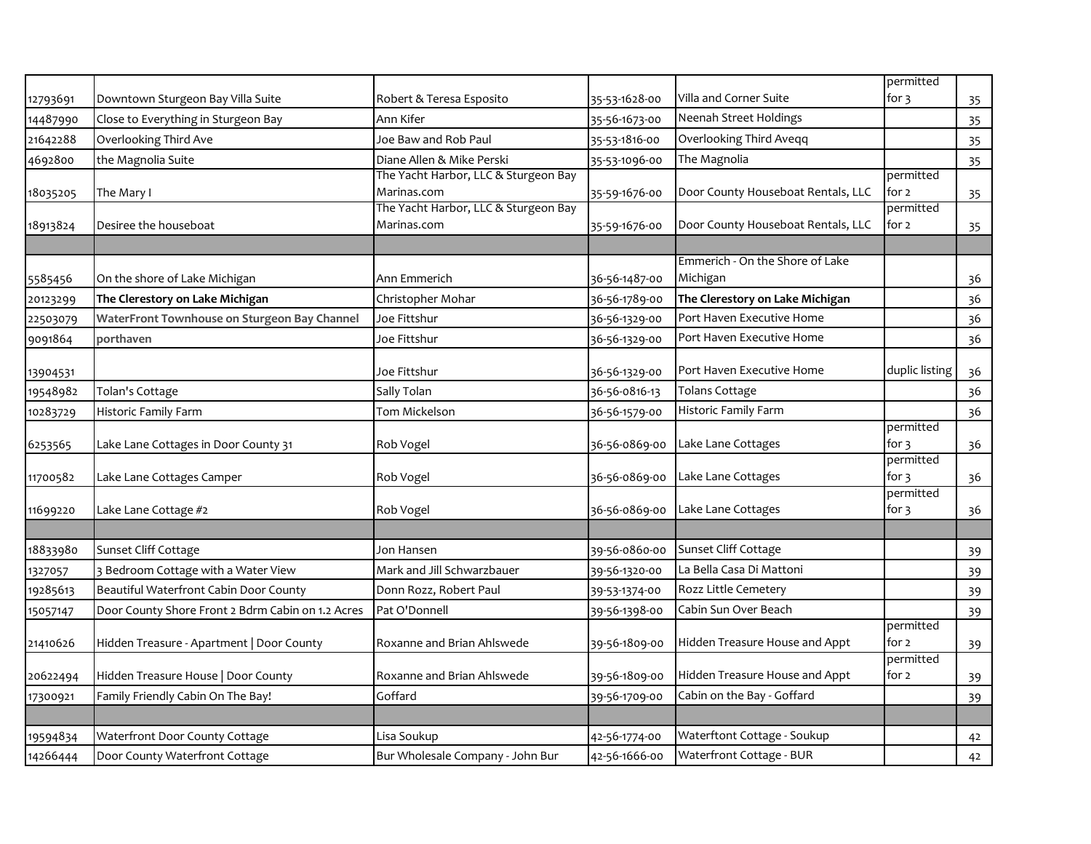|          |                                                   |                                      |               |                                    | permitted                       |    |
|----------|---------------------------------------------------|--------------------------------------|---------------|------------------------------------|---------------------------------|----|
| 12793691 | Downtown Sturgeon Bay Villa Suite                 | Robert & Teresa Esposito             | 35-53-1628-00 | Villa and Corner Suite             | for 3                           | 35 |
| 14487990 | Close to Everything in Sturgeon Bay               | Ann Kifer                            | 35-56-1673-00 | Neenah Street Holdings             |                                 | 35 |
| 21642288 | Overlooking Third Ave                             | Joe Baw and Rob Paul                 | 35-53-1816-00 | Overlooking Third Aveqq            |                                 | 35 |
| 4692800  | the Magnolia Suite                                | Diane Allen & Mike Perski            | 35-53-1096-00 | The Magnolia                       |                                 | 35 |
|          |                                                   | The Yacht Harbor, LLC & Sturgeon Bay |               |                                    | permitted                       |    |
| 18035205 | The Mary I                                        | Marinas.com                          | 35-59-1676-00 | Door County Houseboat Rentals, LLC | for 2                           | 35 |
|          |                                                   | The Yacht Harbor, LLC & Sturgeon Bay |               |                                    | permitted                       |    |
| 18913824 | Desiree the houseboat                             | Marinas.com                          | 35-59-1676-00 | Door County Houseboat Rentals, LLC | for $2$                         | 35 |
|          |                                                   |                                      |               |                                    |                                 |    |
|          |                                                   |                                      |               | Emmerich - On the Shore of Lake    |                                 |    |
| 5585456  | On the shore of Lake Michigan                     | Ann Emmerich                         | 36-56-1487-00 | Michigan                           |                                 | 36 |
| 20123299 | The Clerestory on Lake Michigan                   | Christopher Mohar                    | 36-56-1789-00 | The Clerestory on Lake Michigan    |                                 | 36 |
| 22503079 | WaterFront Townhouse on Sturgeon Bay Channel      | Joe Fittshur                         | 36-56-1329-00 | Port Haven Executive Home          |                                 | 36 |
| 9091864  | porthaven                                         | Joe Fittshur                         | 36-56-1329-00 | Port Haven Executive Home          |                                 | 36 |
|          |                                                   |                                      |               |                                    |                                 |    |
| 13904531 |                                                   | Joe Fittshur                         | 36-56-1329-00 | Port Haven Executive Home          | duplic listing                  | 36 |
| 19548982 | Tolan's Cottage                                   | Sally Tolan                          | 36-56-0816-13 | <b>Tolans Cottage</b>              |                                 | 36 |
| 10283729 | Historic Family Farm                              | Tom Mickelson                        | 36-56-1579-00 | Historic Family Farm               |                                 | 36 |
|          |                                                   |                                      |               |                                    | permitted                       |    |
| 6253565  | Lake Lane Cottages in Door County 31              | Rob Vogel                            | 36-56-0869-00 | Lake Lane Cottages                 | for $3$                         | 36 |
|          |                                                   |                                      |               |                                    | permitted<br>for $\overline{3}$ |    |
| 11700582 | Lake Lane Cottages Camper                         | Rob Vogel                            | 36-56-0869-00 | Lake Lane Cottages                 | permitted                       | 36 |
| 11699220 | Lake Lane Cottage #2                              | Rob Vogel                            | 36-56-0869-00 | Lake Lane Cottages                 | for $3$                         | 36 |
|          |                                                   |                                      |               |                                    |                                 |    |
| 18833980 | Sunset Cliff Cottage                              | Jon Hansen                           | 39-56-0860-00 | Sunset Cliff Cottage               |                                 | 39 |
| 1327057  | 3 Bedroom Cottage with a Water View               | Mark and Jill Schwarzbauer           | 39-56-1320-00 | La Bella Casa Di Mattoni           |                                 | 39 |
| 19285613 | Beautiful Waterfront Cabin Door County            | Donn Rozz, Robert Paul               | 39-53-1374-00 | Rozz Little Cemetery               |                                 | 39 |
| 15057147 | Door County Shore Front 2 Bdrm Cabin on 1.2 Acres | Pat O'Donnell                        | 39-56-1398-00 | Cabin Sun Over Beach               |                                 | 39 |
|          |                                                   |                                      |               |                                    | permitted                       |    |
| 21410626 | Hidden Treasure - Apartment   Door County         | Roxanne and Brian Ahlswede           | 39-56-1809-00 | Hidden Treasure House and Appt     | for $2$                         | 39 |
|          |                                                   |                                      |               |                                    | permitted                       |    |
| 20622494 | Hidden Treasure House   Door County               | Roxanne and Brian Ahlswede           | 39-56-1809-00 | Hidden Treasure House and Appt     | for 2                           | 39 |
| 17300921 | Family Friendly Cabin On The Bay!                 | Goffard                              | 39-56-1709-00 | Cabin on the Bay - Goffard         |                                 | 39 |
|          |                                                   |                                      |               |                                    |                                 |    |
| 19594834 | Waterfront Door County Cottage                    | Lisa Soukup                          | 42-56-1774-00 | Waterftont Cottage - Soukup        |                                 | 42 |
| 14266444 | Door County Waterfront Cottage                    | Bur Wholesale Company - John Bur     | 42-56-1666-00 | Waterfront Cottage - BUR           |                                 | 42 |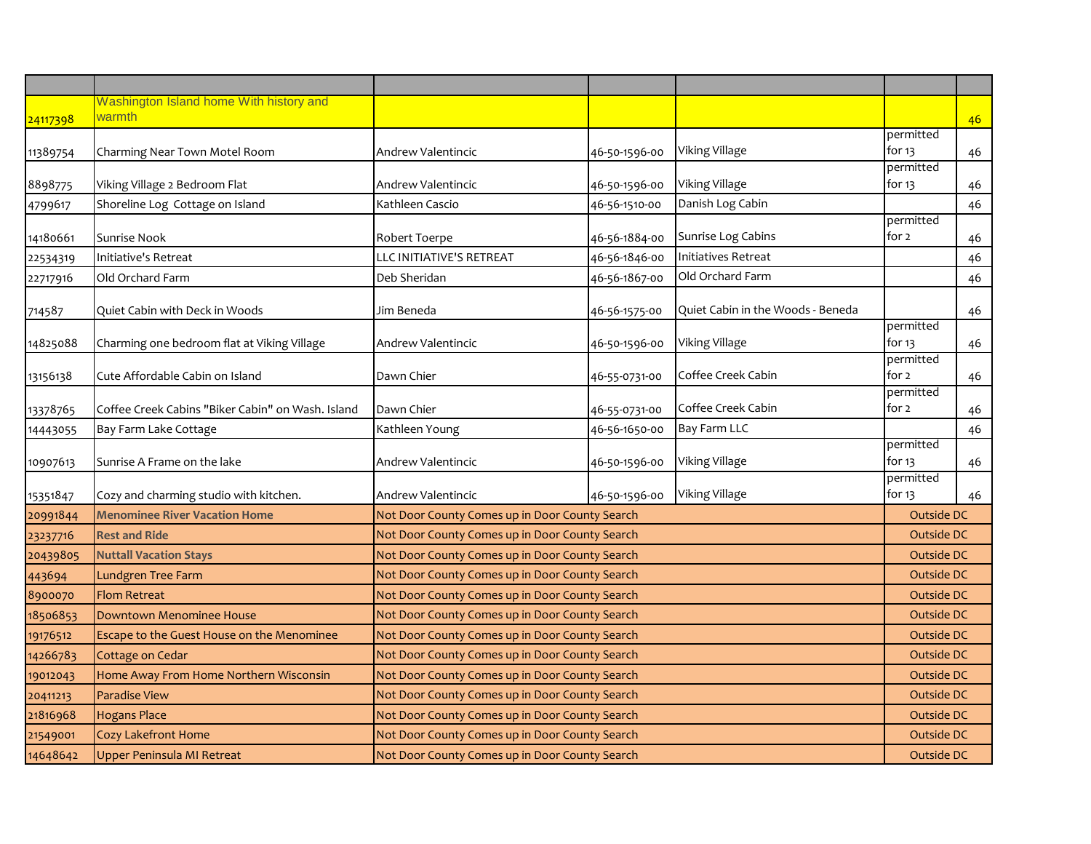| Washington Island home With history and<br>warmth<br>permitted<br>Viking Village<br>for 13<br>Andrew Valentincic<br>11389754<br>Charming Near Town Motel Room<br>46-50-1596-00<br>permitted<br>Viking Village<br>Viking Village 2 Bedroom Flat<br>for 13<br>8898775<br>Andrew Valentincic<br>46-50-1596-00<br>Danish Log Cabin<br>Shoreline Log Cottage on Island<br>46-56-1510-00<br>Kathleen Cascio<br>4799617<br>permitted<br>Sunrise Log Cabins<br>for 2<br>Sunrise Nook<br>46-56-1884-00<br>14180661<br>Robert Toerpe<br>LLC INITIATIVE'S RETREAT<br>46-56-1846-00<br><b>Initiatives Retreat</b><br>Initiative's Retreat<br>22534319<br>Old Orchard Farm<br>Old Orchard Farm<br>Deb Sheridan<br>46-56-1867-00<br>22717916<br>Quiet Cabin in the Woods - Beneda<br>Quiet Cabin with Deck in Woods<br>Jim Beneda<br>46-56-1575-00<br>permitted<br>Viking Village<br>for $13$<br>Charming one bedroom flat at Viking Village<br>Andrew Valentincic<br>46-50-1596-00<br>14825088<br>permitted<br>Coffee Creek Cabin<br>for 2<br>Cute Affordable Cabin on Island<br>Dawn Chier<br>46-55-0731-00<br>13156138<br>permitted |            |  |
|--------------------------------------------------------------------------------------------------------------------------------------------------------------------------------------------------------------------------------------------------------------------------------------------------------------------------------------------------------------------------------------------------------------------------------------------------------------------------------------------------------------------------------------------------------------------------------------------------------------------------------------------------------------------------------------------------------------------------------------------------------------------------------------------------------------------------------------------------------------------------------------------------------------------------------------------------------------------------------------------------------------------------------------------------------------------------------------------------------------------------|------------|--|
| 24117398<br>714587                                                                                                                                                                                                                                                                                                                                                                                                                                                                                                                                                                                                                                                                                                                                                                                                                                                                                                                                                                                                                                                                                                       |            |  |
|                                                                                                                                                                                                                                                                                                                                                                                                                                                                                                                                                                                                                                                                                                                                                                                                                                                                                                                                                                                                                                                                                                                          | 46         |  |
|                                                                                                                                                                                                                                                                                                                                                                                                                                                                                                                                                                                                                                                                                                                                                                                                                                                                                                                                                                                                                                                                                                                          |            |  |
|                                                                                                                                                                                                                                                                                                                                                                                                                                                                                                                                                                                                                                                                                                                                                                                                                                                                                                                                                                                                                                                                                                                          | 46         |  |
|                                                                                                                                                                                                                                                                                                                                                                                                                                                                                                                                                                                                                                                                                                                                                                                                                                                                                                                                                                                                                                                                                                                          | 46         |  |
|                                                                                                                                                                                                                                                                                                                                                                                                                                                                                                                                                                                                                                                                                                                                                                                                                                                                                                                                                                                                                                                                                                                          | 46         |  |
|                                                                                                                                                                                                                                                                                                                                                                                                                                                                                                                                                                                                                                                                                                                                                                                                                                                                                                                                                                                                                                                                                                                          |            |  |
|                                                                                                                                                                                                                                                                                                                                                                                                                                                                                                                                                                                                                                                                                                                                                                                                                                                                                                                                                                                                                                                                                                                          | 46         |  |
|                                                                                                                                                                                                                                                                                                                                                                                                                                                                                                                                                                                                                                                                                                                                                                                                                                                                                                                                                                                                                                                                                                                          | 46         |  |
|                                                                                                                                                                                                                                                                                                                                                                                                                                                                                                                                                                                                                                                                                                                                                                                                                                                                                                                                                                                                                                                                                                                          | 46         |  |
|                                                                                                                                                                                                                                                                                                                                                                                                                                                                                                                                                                                                                                                                                                                                                                                                                                                                                                                                                                                                                                                                                                                          | 46         |  |
|                                                                                                                                                                                                                                                                                                                                                                                                                                                                                                                                                                                                                                                                                                                                                                                                                                                                                                                                                                                                                                                                                                                          |            |  |
|                                                                                                                                                                                                                                                                                                                                                                                                                                                                                                                                                                                                                                                                                                                                                                                                                                                                                                                                                                                                                                                                                                                          | 46         |  |
|                                                                                                                                                                                                                                                                                                                                                                                                                                                                                                                                                                                                                                                                                                                                                                                                                                                                                                                                                                                                                                                                                                                          |            |  |
|                                                                                                                                                                                                                                                                                                                                                                                                                                                                                                                                                                                                                                                                                                                                                                                                                                                                                                                                                                                                                                                                                                                          | 46         |  |
| Coffee Creek Cabin<br>Coffee Creek Cabins "Biker Cabin" on Wash. Island<br>Dawn Chier<br>for 2<br>13378765<br>46-55-0731-00                                                                                                                                                                                                                                                                                                                                                                                                                                                                                                                                                                                                                                                                                                                                                                                                                                                                                                                                                                                              | 46         |  |
| Bay Farm LLC<br>46-56-1650-00<br>Bay Farm Lake Cottage<br>Kathleen Young<br>14443055                                                                                                                                                                                                                                                                                                                                                                                                                                                                                                                                                                                                                                                                                                                                                                                                                                                                                                                                                                                                                                     | 46         |  |
| permitted<br>Viking Village<br>for $13$<br>Sunrise A Frame on the lake<br>Andrew Valentincic                                                                                                                                                                                                                                                                                                                                                                                                                                                                                                                                                                                                                                                                                                                                                                                                                                                                                                                                                                                                                             |            |  |
| 10907613<br>46-50-1596-00<br>permitted                                                                                                                                                                                                                                                                                                                                                                                                                                                                                                                                                                                                                                                                                                                                                                                                                                                                                                                                                                                                                                                                                   | 46         |  |
| Viking Village<br>for 13<br>Cozy and charming studio with kitchen.<br>Andrew Valentincic<br>46-50-1596-00<br>15351847                                                                                                                                                                                                                                                                                                                                                                                                                                                                                                                                                                                                                                                                                                                                                                                                                                                                                                                                                                                                    | 46         |  |
| <b>Menominee River Vacation Home</b><br>Not Door County Comes up in Door County Search<br>Outside DC<br>20991844                                                                                                                                                                                                                                                                                                                                                                                                                                                                                                                                                                                                                                                                                                                                                                                                                                                                                                                                                                                                         |            |  |
| Not Door County Comes up in Door County Search<br><b>Rest and Ride</b><br><b>Outside DC</b><br>23237716                                                                                                                                                                                                                                                                                                                                                                                                                                                                                                                                                                                                                                                                                                                                                                                                                                                                                                                                                                                                                  |            |  |
| Not Door County Comes up in Door County Search<br>Outside DC<br><b>Nuttall Vacation Stays</b><br>20439805                                                                                                                                                                                                                                                                                                                                                                                                                                                                                                                                                                                                                                                                                                                                                                                                                                                                                                                                                                                                                |            |  |
| Not Door County Comes up in Door County Search<br><b>Outside DC</b><br>Lundgren Tree Farm<br>443694                                                                                                                                                                                                                                                                                                                                                                                                                                                                                                                                                                                                                                                                                                                                                                                                                                                                                                                                                                                                                      |            |  |
| <b>Flom Retreat</b><br>Not Door County Comes up in Door County Search<br>Outside DC<br>8900070                                                                                                                                                                                                                                                                                                                                                                                                                                                                                                                                                                                                                                                                                                                                                                                                                                                                                                                                                                                                                           |            |  |
| Outside DC<br>Downtown Menominee House<br>Not Door County Comes up in Door County Search<br>18506853                                                                                                                                                                                                                                                                                                                                                                                                                                                                                                                                                                                                                                                                                                                                                                                                                                                                                                                                                                                                                     |            |  |
| Not Door County Comes up in Door County Search<br><b>Outside DC</b><br>Escape to the Guest House on the Menominee<br>19176512                                                                                                                                                                                                                                                                                                                                                                                                                                                                                                                                                                                                                                                                                                                                                                                                                                                                                                                                                                                            |            |  |
| Cottage on Cedar<br>Not Door County Comes up in Door County Search<br><b>Outside DC</b><br>14266783                                                                                                                                                                                                                                                                                                                                                                                                                                                                                                                                                                                                                                                                                                                                                                                                                                                                                                                                                                                                                      |            |  |
| Home Away From Home Northern Wisconsin<br>Not Door County Comes up in Door County Search<br><b>Outside DC</b><br>19012043                                                                                                                                                                                                                                                                                                                                                                                                                                                                                                                                                                                                                                                                                                                                                                                                                                                                                                                                                                                                |            |  |
| <b>Paradise View</b><br>Not Door County Comes up in Door County Search<br><b>Outside DC</b><br>20411213                                                                                                                                                                                                                                                                                                                                                                                                                                                                                                                                                                                                                                                                                                                                                                                                                                                                                                                                                                                                                  |            |  |
| Not Door County Comes up in Door County Search<br>21816968<br><b>Hogans Place</b>                                                                                                                                                                                                                                                                                                                                                                                                                                                                                                                                                                                                                                                                                                                                                                                                                                                                                                                                                                                                                                        | Outside DC |  |
| Not Door County Comes up in Door County Search<br>Outside DC<br><b>Cozy Lakefront Home</b><br>21549001                                                                                                                                                                                                                                                                                                                                                                                                                                                                                                                                                                                                                                                                                                                                                                                                                                                                                                                                                                                                                   |            |  |
| 14648642<br>Not Door County Comes up in Door County Search<br>Upper Peninsula MI Retreat<br>Outside DC                                                                                                                                                                                                                                                                                                                                                                                                                                                                                                                                                                                                                                                                                                                                                                                                                                                                                                                                                                                                                   |            |  |